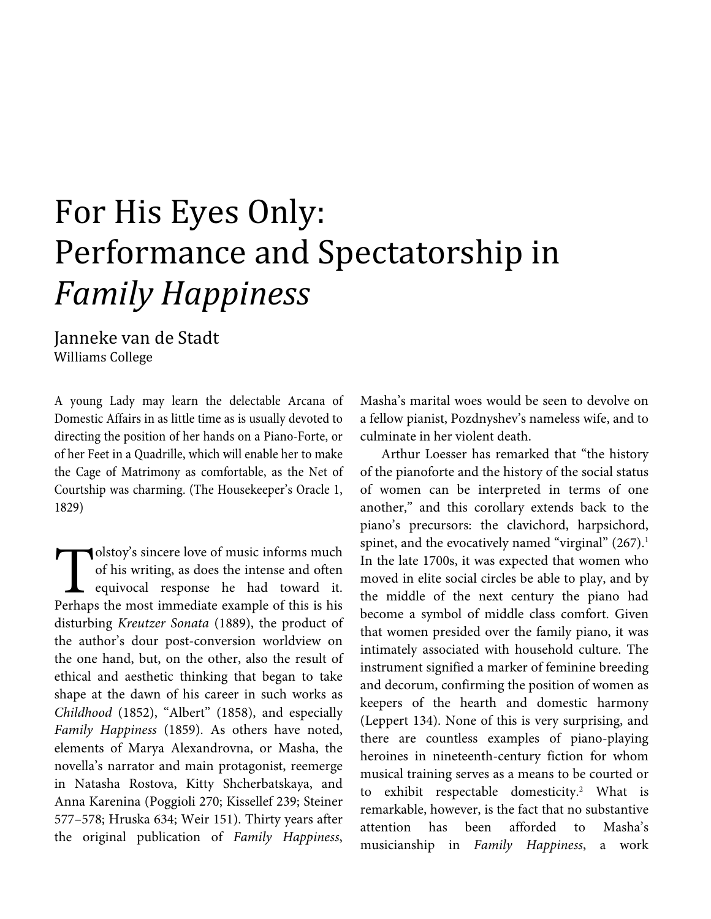## For His Eyes Only: Performance and Spectatorship in *Family Happiness*

Janneke van de Stadt Williams College

A young Lady may learn the delectable Arcana of Domestic Affairs in as little time as is usually devoted to directing the position of her hands on a Piano-Forte, or of her Feet in a Quadrille, which will enable her to make the Cage of Matrimony as comfortable, as the Net of Courtship was charming. (The Housekeeper's Oracle 1, 1829)

olstoy's sincere love of music informs much of his writing, as does the intense and often equivocal response he had toward it. **Perhaps in the most immediate example of this is his perhaps the most immediate example of this is his set of the most immediate example of this is his set of the most immediate example of this is his set of the most imme** disturbing *Kreutzer Sonata* (1889), the product of the author's dour post-conversion worldview on the one hand, but, on the other, also the result of ethical and aesthetic thinking that began to take shape at the dawn of his career in such works as *Childhood* (1852), "Albert" (1858), and especially *Family Happiness* (1859). As others have noted, elements of Marya Alexandrovna, or Masha, the novella's narrator and main protagonist, reemerge in Natasha Rostova, Kitty Shcherbatskaya, and Anna Karenina (Poggioli 270; Kissellef 239; Steiner 577–578; Hruska 634; Weir 151). Thirty years after the original publication of *Family Happiness*,

Masha's marital woes would be seen to devolve on a fellow pianist, Pozdnyshev's nameless wife, and to culminate in her violent death.

Arthur Loesser has remarked that "the history of the pianoforte and the history of the social status of women can be interpreted in terms of one another," and this corollary extends back to the piano's precursors: the clavichord, harpsichord, spinet, and the evocatively named "virginal"  $(267)^1$ . In the late 1700s, it was expected that women who moved in elite social circles be able to play, and by the middle of the next century the piano had become a symbol of middle class comfort. Given that women presided over the family piano, it was intimately associated with household culture. The instrument signified a marker of feminine breeding and decorum, confirming the position of women as keepers of the hearth and domestic harmony (Leppert 134). None of this is very surprising, and there are countless examples of piano-playing heroines in nineteenth-century fiction for whom musical training serves as a means to be courted or to exhibit respectable domesticity.<sup>2</sup> What is remarkable, however, is the fact that no substantive attention has been afforded to Masha's musicianship in *Family Happiness*, a work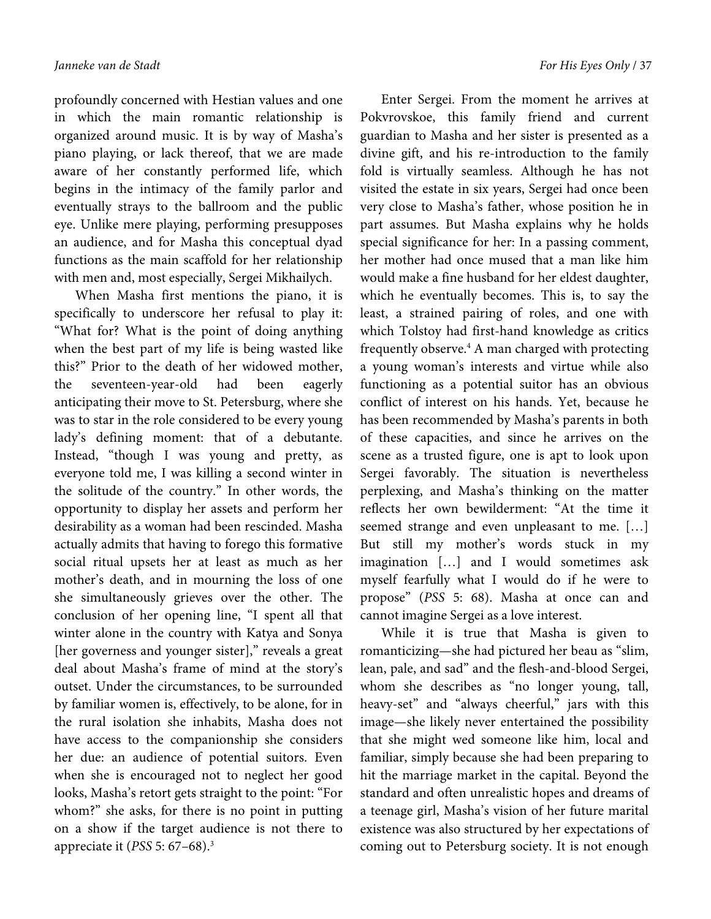profoundly concerned with Hestian values and one in which the main romantic relationship is organized around music. It is by way of Masha's piano playing, or lack thereof, that we are made aware of her constantly performed life, which begins in the intimacy of the family parlor and eventually strays to the ballroom and the public eye. Unlike mere playing, performing presupposes an audience, and for Masha this conceptual dyad functions as the main scaffold for her relationship with men and, most especially, Sergei Mikhailych.

When Masha first mentions the piano, it is specifically to underscore her refusal to play it: "What for? What is the point of doing anything when the best part of my life is being wasted like this?" Prior to the death of her widowed mother, the seventeen-year-old had been eagerly anticipating their move to St. Petersburg, where she was to star in the role considered to be every young lady's defining moment: that of a debutante. Instead, "though I was young and pretty, as everyone told me, I was killing a second winter in the solitude of the country." In other words, the opportunity to display her assets and perform her desirability as a woman had been rescinded. Masha actually admits that having to forego this formative social ritual upsets her at least as much as her mother's death, and in mourning the loss of one she simultaneously grieves over the other. The conclusion of her opening line, "I spent all that winter alone in the country with Katya and Sonya [her governess and younger sister]," reveals a great deal about Masha's frame of mind at the story's outset. Under the circumstances, to be surrounded by familiar women is, effectively, to be alone, for in the rural isolation she inhabits, Masha does not have access to the companionship she considers her due: an audience of potential suitors. Even when she is encouraged not to neglect her good looks, Masha's retort gets straight to the point: "For whom?" she asks, for there is no point in putting on a show if the target audience is not there to appreciate it (*PSS* 5: 67–68).3

Enter Sergei. From the moment he arrives at Pokvrovskoe, this family friend and current guardian to Masha and her sister is presented as a divine gift, and his re-introduction to the family fold is virtually seamless. Although he has not visited the estate in six years, Sergei had once been very close to Masha's father, whose position he in part assumes. But Masha explains why he holds special significance for her: In a passing comment, her mother had once mused that a man like him would make a fine husband for her eldest daughter, which he eventually becomes. This is, to say the least, a strained pairing of roles, and one with which Tolstoy had first-hand knowledge as critics frequently observe.<sup>4</sup> A man charged with protecting a young woman's interests and virtue while also functioning as a potential suitor has an obvious conflict of interest on his hands. Yet, because he has been recommended by Masha's parents in both of these capacities, and since he arrives on the scene as a trusted figure, one is apt to look upon Sergei favorably. The situation is nevertheless perplexing, and Masha's thinking on the matter reflects her own bewilderment: "At the time it seemed strange and even unpleasant to me. […] But still my mother's words stuck in my imagination […] and I would sometimes ask myself fearfully what I would do if he were to propose" (*PSS* 5: 68). Masha at once can and cannot imagine Sergei as a love interest.

While it is true that Masha is given to romanticizing—she had pictured her beau as "slim, lean, pale, and sad" and the flesh-and-blood Sergei, whom she describes as "no longer young, tall, heavy-set" and "always cheerful," jars with this image—she likely never entertained the possibility that she might wed someone like him, local and familiar, simply because she had been preparing to hit the marriage market in the capital. Beyond the standard and often unrealistic hopes and dreams of a teenage girl, Masha's vision of her future marital existence was also structured by her expectations of coming out to Petersburg society. It is not enough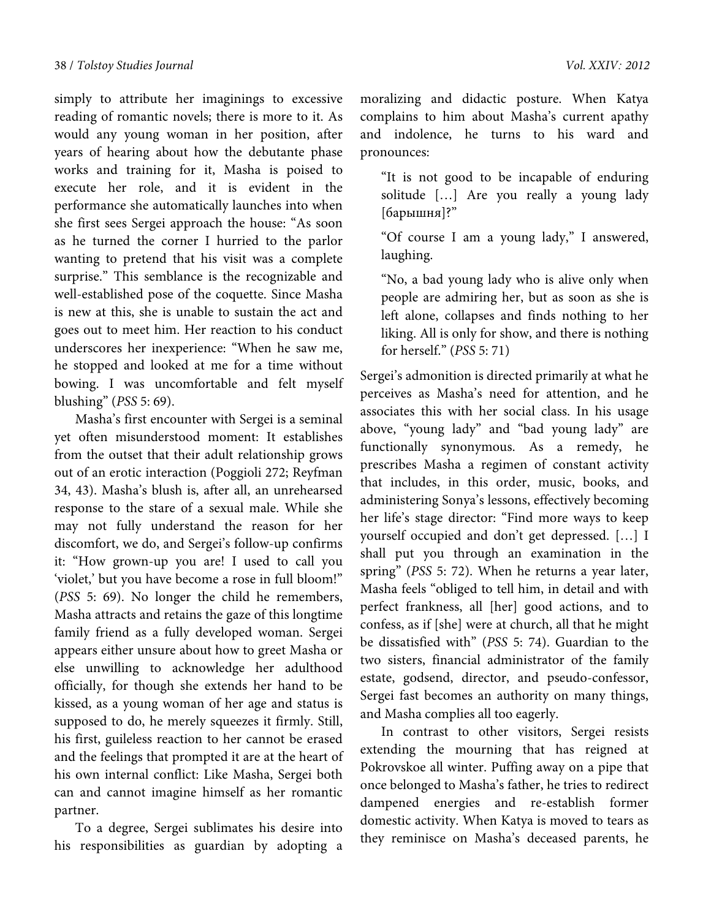simply to attribute her imaginings to excessive reading of romantic novels; there is more to it. As would any young woman in her position, after years of hearing about how the debutante phase works and training for it, Masha is poised to execute her role, and it is evident in the performance she automatically launches into when she first sees Sergei approach the house: "As soon as he turned the corner I hurried to the parlor wanting to pretend that his visit was a complete surprise." This semblance is the recognizable and well-established pose of the coquette. Since Masha is new at this, she is unable to sustain the act and goes out to meet him. Her reaction to his conduct underscores her inexperience: "When he saw me, he stopped and looked at me for a time without bowing. I was uncomfortable and felt myself blushing" (*PSS* 5: 69).

Masha's first encounter with Sergei is a seminal yet often misunderstood moment: It establishes from the outset that their adult relationship grows out of an erotic interaction (Poggioli 272; Reyfman 34, 43). Masha's blush is, after all, an unrehearsed response to the stare of a sexual male. While she may not fully understand the reason for her discomfort, we do, and Sergei's follow-up confirms it: "How grown-up you are! I used to call you 'violet,' but you have become a rose in full bloom!" (*PSS* 5: 69). No longer the child he remembers, Masha attracts and retains the gaze of this longtime family friend as a fully developed woman. Sergei appears either unsure about how to greet Masha or else unwilling to acknowledge her adulthood officially, for though she extends her hand to be kissed, as a young woman of her age and status is supposed to do, he merely squeezes it firmly. Still, his first, guileless reaction to her cannot be erased and the feelings that prompted it are at the heart of his own internal conflict: Like Masha, Sergei both can and cannot imagine himself as her romantic partner.

To a degree, Sergei sublimates his desire into his responsibilities as guardian by adopting a moralizing and didactic posture. When Katya complains to him about Masha's current apathy and indolence, he turns to his ward and pronounces:

"It is not good to be incapable of enduring solitude […] Are you really a young lady [барышня]?"

"Of course I am a young lady," I answered, laughing.

"No, a bad young lady who is alive only when people are admiring her, but as soon as she is left alone, collapses and finds nothing to her liking. All is only for show, and there is nothing for herself." (*PSS* 5: 71)

Sergei's admonition is directed primarily at what he perceives as Masha's need for attention, and he associates this with her social class. In his usage above, "young lady" and "bad young lady" are functionally synonymous. As a remedy, he prescribes Masha a regimen of constant activity that includes, in this order, music, books, and administering Sonya's lessons, effectively becoming her life's stage director: "Find more ways to keep yourself occupied and don't get depressed. […] I shall put you through an examination in the spring" (*PSS* 5: 72). When he returns a year later, Masha feels "obliged to tell him, in detail and with perfect frankness, all [her] good actions, and to confess, as if [she] were at church, all that he might be dissatisfied with" (*PSS* 5: 74). Guardian to the two sisters, financial administrator of the family estate, godsend, director, and pseudo-confessor, Sergei fast becomes an authority on many things, and Masha complies all too eagerly.

In contrast to other visitors, Sergei resists extending the mourning that has reigned at Pokrovskoe all winter. Puffing away on a pipe that once belonged to Masha's father, he tries to redirect dampened energies and re-establish former domestic activity. When Katya is moved to tears as they reminisce on Masha's deceased parents, he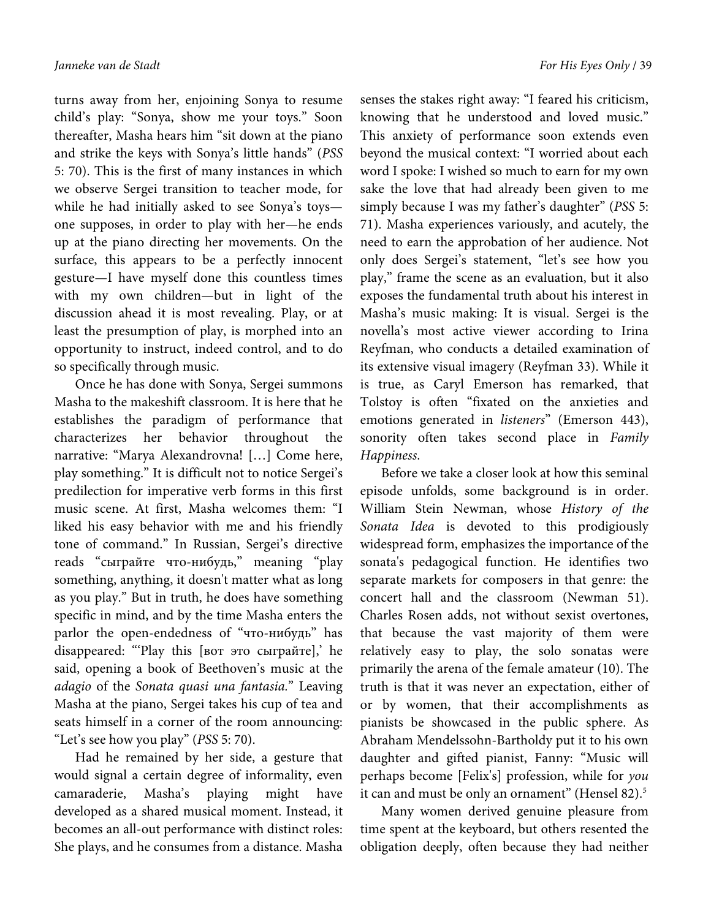turns away from her, enjoining Sonya to resume child's play: "Sonya, show me your toys." Soon thereafter, Masha hears him "sit down at the piano and strike the keys with Sonya's little hands" (*PSS* 5: 70). This is the first of many instances in which we observe Sergei transition to teacher mode, for while he had initially asked to see Sonya's toys one supposes, in order to play with her—he ends up at the piano directing her movements. On the surface, this appears to be a perfectly innocent gesture—I have myself done this countless times with my own children—but in light of the discussion ahead it is most revealing. Play, or at least the presumption of play, is morphed into an opportunity to instruct, indeed control, and to do so specifically through music.

Once he has done with Sonya, Sergei summons Masha to the makeshift classroom. It is here that he establishes the paradigm of performance that characterizes her behavior throughout the narrative: "Marya Alexandrovna! […] Come here, play something." It is difficult not to notice Sergei's predilection for imperative verb forms in this first music scene. At first, Masha welcomes them: "I liked his easy behavior with me and his friendly tone of command." In Russian, Sergei's directive reads "сыграйте что-нибудь," meaning "play something, anything, it doesn't matter what as long as you play." But in truth, he does have something specific in mind, and by the time Masha enters the parlor the open-endedness of "что-нибудь" has disappeared: "'Play this [вот это сыграйте],' he said, opening a book of Beethoven's music at the *adagio* of the *Sonata quasi una fantasia.*" Leaving Masha at the piano, Sergei takes his cup of tea and seats himself in a corner of the room announcing: "Let's see how you play" (*PSS* 5: 70).

Had he remained by her side, a gesture that would signal a certain degree of informality, even camaraderie, Masha's playing might have developed as a shared musical moment. Instead, it becomes an all-out performance with distinct roles: She plays, and he consumes from a distance. Masha senses the stakes right away: "I feared his criticism, knowing that he understood and loved music." This anxiety of performance soon extends even beyond the musical context: "I worried about each word I spoke: I wished so much to earn for my own sake the love that had already been given to me simply because I was my father's daughter" (*PSS* 5: 71). Masha experiences variously, and acutely, the need to earn the approbation of her audience. Not only does Sergei's statement, "let's see how you play," frame the scene as an evaluation, but it also exposes the fundamental truth about his interest in Masha's music making: It is visual. Sergei is the novella's most active viewer according to Irina Reyfman, who conducts a detailed examination of its extensive visual imagery (Reyfman 33). While it is true, as Caryl Emerson has remarked, that Tolstoy is often "fixated on the anxieties and emotions generated in *listeners*" (Emerson 443), sonority often takes second place in *Family Happiness*.

Before we take a closer look at how this seminal episode unfolds, some background is in order. William Stein Newman, whose *History of the Sonata Idea* is devoted to this prodigiously widespread form, emphasizes the importance of the sonata's pedagogical function. He identifies two separate markets for composers in that genre: the concert hall and the classroom (Newman 51). Charles Rosen adds, not without sexist overtones, that because the vast majority of them were relatively easy to play, the solo sonatas were primarily the arena of the female amateur (10). The truth is that it was never an expectation, either of or by women, that their accomplishments as pianists be showcased in the public sphere. As Abraham Mendelssohn-Bartholdy put it to his own daughter and gifted pianist, Fanny: "Music will perhaps become [Felix's] profession, while for *you* it can and must be only an ornament" (Hensel 82).<sup>5</sup>

Many women derived genuine pleasure from time spent at the keyboard, but others resented the obligation deeply, often because they had neither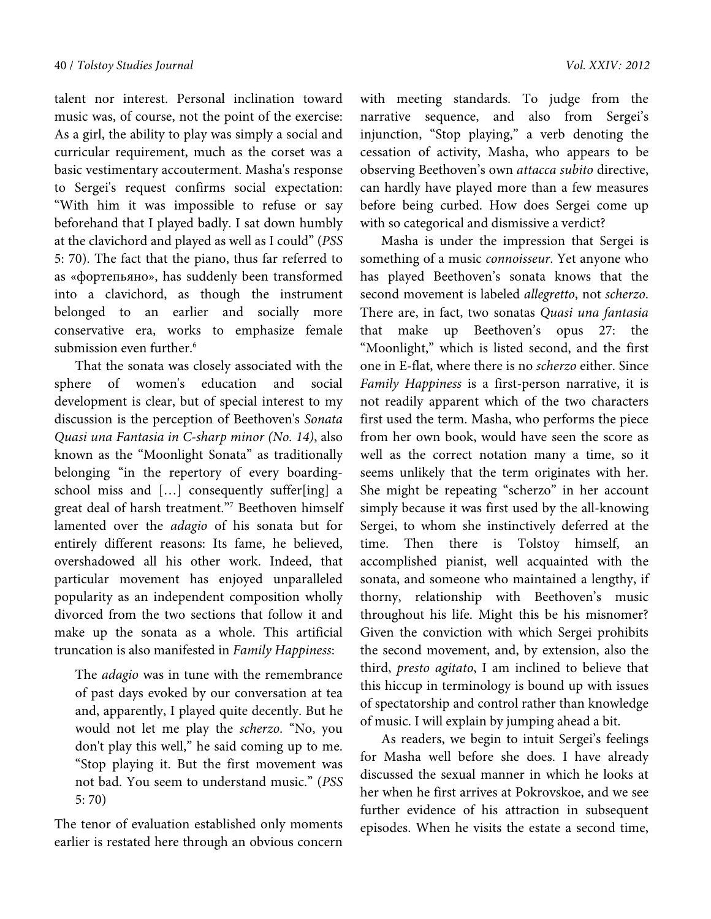talent nor interest. Personal inclination toward music was, of course, not the point of the exercise: As a girl, the ability to play was simply a social and curricular requirement, much as the corset was a basic vestimentary accouterment. Masha's response to Sergei's request confirms social expectation: "With him it was impossible to refuse or say beforehand that I played badly. I sat down humbly at the clavichord and played as well as I could" (*PSS* 5: 70). The fact that the piano, thus far referred to as «фортепьяно», has suddenly been transformed into a clavichord, as though the instrument belonged to an earlier and socially more conservative era, works to emphasize female submission even further.<sup>6</sup>

That the sonata was closely associated with the sphere of women's education and social development is clear, but of special interest to my discussion is the perception of Beethoven's *Sonata Quasi una Fantasia in C-sharp minor (No. 14)*, also known as the "Moonlight Sonata" as traditionally belonging "in the repertory of every boardingschool miss and […] consequently suffer[ing] a great deal of harsh treatment."7 Beethoven himself lamented over the *adagio* of his sonata but for entirely different reasons: Its fame, he believed, overshadowed all his other work. Indeed, that particular movement has enjoyed unparalleled popularity as an independent composition wholly divorced from the two sections that follow it and make up the sonata as a whole. This artificial truncation is also manifested in *Family Happiness*:

The *adagio* was in tune with the remembrance of past days evoked by our conversation at tea and, apparently, I played quite decently. But he would not let me play the *scherzo*. "No, you don't play this well," he said coming up to me. "Stop playing it. But the first movement was not bad. You seem to understand music." (*PSS* 5: 70)

The tenor of evaluation established only moments earlier is restated here through an obvious concern with meeting standards. To judge from the narrative sequence, and also from Sergei's injunction, "Stop playing," a verb denoting the cessation of activity, Masha, who appears to be observing Beethoven's own *attacca subito* directive, can hardly have played more than a few measures before being curbed. How does Sergei come up with so categorical and dismissive a verdict?

Masha is under the impression that Sergei is something of a music *connoisseur*. Yet anyone who has played Beethoven's sonata knows that the second movement is labeled *allegretto*, not *scherzo*. There are, in fact, two sonatas *Quasi una fantasia*  that make up Beethoven's opus 27: the "Moonlight," which is listed second, and the first one in E-flat, where there is no *scherzo* either. Since *Family Happiness* is a first-person narrative, it is not readily apparent which of the two characters first used the term. Masha, who performs the piece from her own book, would have seen the score as well as the correct notation many a time, so it seems unlikely that the term originates with her. She might be repeating "scherzo" in her account simply because it was first used by the all-knowing Sergei, to whom she instinctively deferred at the time. Then there is Tolstoy himself, an accomplished pianist, well acquainted with the sonata, and someone who maintained a lengthy, if thorny, relationship with Beethoven's music throughout his life. Might this be his misnomer? Given the conviction with which Sergei prohibits the second movement, and, by extension, also the third, *presto agitato*, I am inclined to believe that this hiccup in terminology is bound up with issues of spectatorship and control rather than knowledge of music. I will explain by jumping ahead a bit.

As readers, we begin to intuit Sergei's feelings for Masha well before she does. I have already discussed the sexual manner in which he looks at her when he first arrives at Pokrovskoe, and we see further evidence of his attraction in subsequent episodes. When he visits the estate a second time,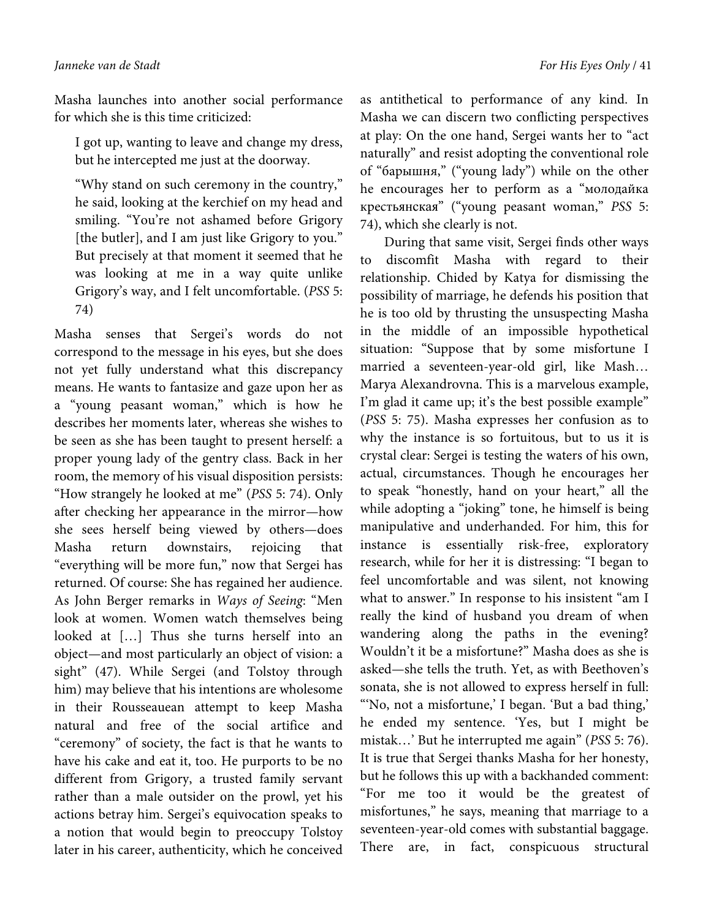Masha launches into another social performance for which she is this time criticized:

I got up, wanting to leave and change my dress, but he intercepted me just at the doorway.

"Why stand on such ceremony in the country," he said, looking at the kerchief on my head and smiling. "You're not ashamed before Grigory [the butler], and I am just like Grigory to you." But precisely at that moment it seemed that he was looking at me in a way quite unlike Grigory's way, and I felt uncomfortable. (*PSS* 5: 74)

Masha senses that Sergei's words do not correspond to the message in his eyes, but she does not yet fully understand what this discrepancy means. He wants to fantasize and gaze upon her as a "young peasant woman," which is how he describes her moments later, whereas she wishes to be seen as she has been taught to present herself: a proper young lady of the gentry class. Back in her room, the memory of his visual disposition persists: "How strangely he looked at me" (*PSS* 5: 74). Only after checking her appearance in the mirror—how she sees herself being viewed by others—does Masha return downstairs, rejoicing that "everything will be more fun," now that Sergei has returned. Of course: She has regained her audience. As John Berger remarks in *Ways of Seeing*: "Men look at women. Women watch themselves being looked at […] Thus she turns herself into an object—and most particularly an object of vision: a sight" (47). While Sergei (and Tolstoy through him) may believe that his intentions are wholesome in their Rousseauean attempt to keep Masha natural and free of the social artifice and "ceremony" of society, the fact is that he wants to have his cake and eat it, too. He purports to be no different from Grigory, a trusted family servant rather than a male outsider on the prowl, yet his actions betray him. Sergei's equivocation speaks to a notion that would begin to preoccupy Tolstoy later in his career, authenticity, which he conceived

as antithetical to performance of any kind. In Masha we can discern two conflicting perspectives at play: On the one hand, Sergei wants her to "act naturally" and resist adopting the conventional role of "барышня," ("young lady") while on the other he encourages her to perform as a "молодайка крестьянская" ("young peasant woman," *PSS* 5: 74), which she clearly is not.

 During that same visit, Sergei finds other ways to discomfit Masha with regard to their relationship. Chided by Katya for dismissing the possibility of marriage, he defends his position that he is too old by thrusting the unsuspecting Masha in the middle of an impossible hypothetical situation: "Suppose that by some misfortune I married a seventeen-year-old girl, like Mash… Marya Alexandrovna. This is a marvelous example, I'm glad it came up; it's the best possible example" (*PSS* 5: 75). Masha expresses her confusion as to why the instance is so fortuitous, but to us it is crystal clear: Sergei is testing the waters of his own, actual, circumstances. Though he encourages her to speak "honestly, hand on your heart," all the while adopting a "joking" tone, he himself is being manipulative and underhanded. For him, this for instance is essentially risk-free, exploratory research, while for her it is distressing: "I began to feel uncomfortable and was silent, not knowing what to answer." In response to his insistent "am I really the kind of husband you dream of when wandering along the paths in the evening? Wouldn't it be a misfortune?" Masha does as she is asked—she tells the truth. Yet, as with Beethoven's sonata, she is not allowed to express herself in full: "'No, not a misfortune,' I began. 'But a bad thing,' he ended my sentence. 'Yes, but I might be mistak…' But he interrupted me again" (*PSS* 5: 76). It is true that Sergei thanks Masha for her honesty, but he follows this up with a backhanded comment: "For me too it would be the greatest of misfortunes," he says, meaning that marriage to a seventeen-year-old comes with substantial baggage. There are, in fact, conspicuous structural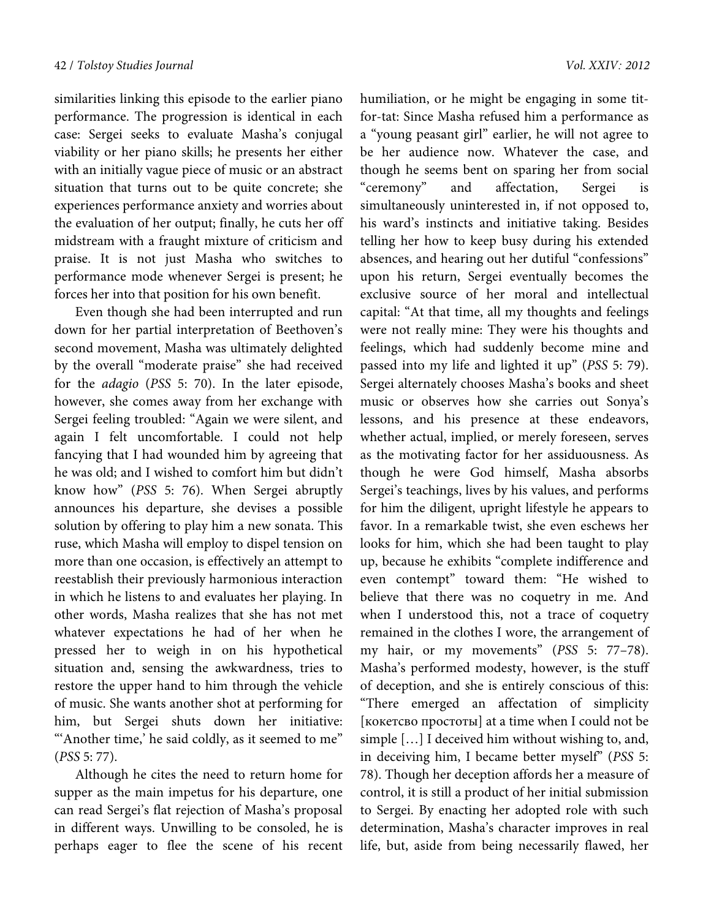similarities linking this episode to the earlier piano performance. The progression is identical in each case: Sergei seeks to evaluate Masha's conjugal viability or her piano skills; he presents her either with an initially vague piece of music or an abstract situation that turns out to be quite concrete; she experiences performance anxiety and worries about the evaluation of her output; finally, he cuts her off midstream with a fraught mixture of criticism and praise. It is not just Masha who switches to performance mode whenever Sergei is present; he forces her into that position for his own benefit.

Even though she had been interrupted and run down for her partial interpretation of Beethoven's second movement, Masha was ultimately delighted by the overall "moderate praise" she had received for the *adagio* (*PSS* 5: 70). In the later episode, however, she comes away from her exchange with Sergei feeling troubled: "Again we were silent, and again I felt uncomfortable. I could not help fancying that I had wounded him by agreeing that he was old; and I wished to comfort him but didn't know how" (*PSS* 5: 76). When Sergei abruptly announces his departure, she devises a possible solution by offering to play him a new sonata. This ruse, which Masha will employ to dispel tension on more than one occasion, is effectively an attempt to reestablish their previously harmonious interaction in which he listens to and evaluates her playing. In other words, Masha realizes that she has not met whatever expectations he had of her when he pressed her to weigh in on his hypothetical situation and, sensing the awkwardness, tries to restore the upper hand to him through the vehicle of music. She wants another shot at performing for him, but Sergei shuts down her initiative: "Another time, he said coldly, as it seemed to me" (*PSS* 5: 77).

Although he cites the need to return home for supper as the main impetus for his departure, one can read Sergei's flat rejection of Masha's proposal in different ways. Unwilling to be consoled, he is perhaps eager to flee the scene of his recent humiliation, or he might be engaging in some titfor-tat: Since Masha refused him a performance as a "young peasant girl" earlier, he will not agree to be her audience now. Whatever the case, and though he seems bent on sparing her from social "ceremony" and affectation, Sergei is simultaneously uninterested in, if not opposed to, his ward's instincts and initiative taking. Besides telling her how to keep busy during his extended absences, and hearing out her dutiful "confessions" upon his return, Sergei eventually becomes the exclusive source of her moral and intellectual capital: "At that time, all my thoughts and feelings were not really mine: They were his thoughts and feelings, which had suddenly become mine and passed into my life and lighted it up" (*PSS* 5: 79). Sergei alternately chooses Masha's books and sheet music or observes how she carries out Sonya's lessons, and his presence at these endeavors, whether actual, implied, or merely foreseen, serves as the motivating factor for her assiduousness. As though he were God himself, Masha absorbs Sergei's teachings, lives by his values, and performs for him the diligent, upright lifestyle he appears to favor. In a remarkable twist, she even eschews her looks for him, which she had been taught to play up, because he exhibits "complete indifference and even contempt" toward them: "He wished to believe that there was no coquetry in me. And when I understood this, not a trace of coquetry remained in the clothes I wore, the arrangement of my hair, or my movements" (*PSS* 5: 77–78). Masha's performed modesty, however, is the stuff of deception, and she is entirely conscious of this: "There emerged an affectation of simplicity [кокетсво простоты] at a time when I could not be simple […] I deceived him without wishing to, and, in deceiving him, I became better myself" (*PSS* 5: 78). Though her deception affords her a measure of control, it is still a product of her initial submission to Sergei. By enacting her adopted role with such determination, Masha's character improves in real life, but, aside from being necessarily flawed, her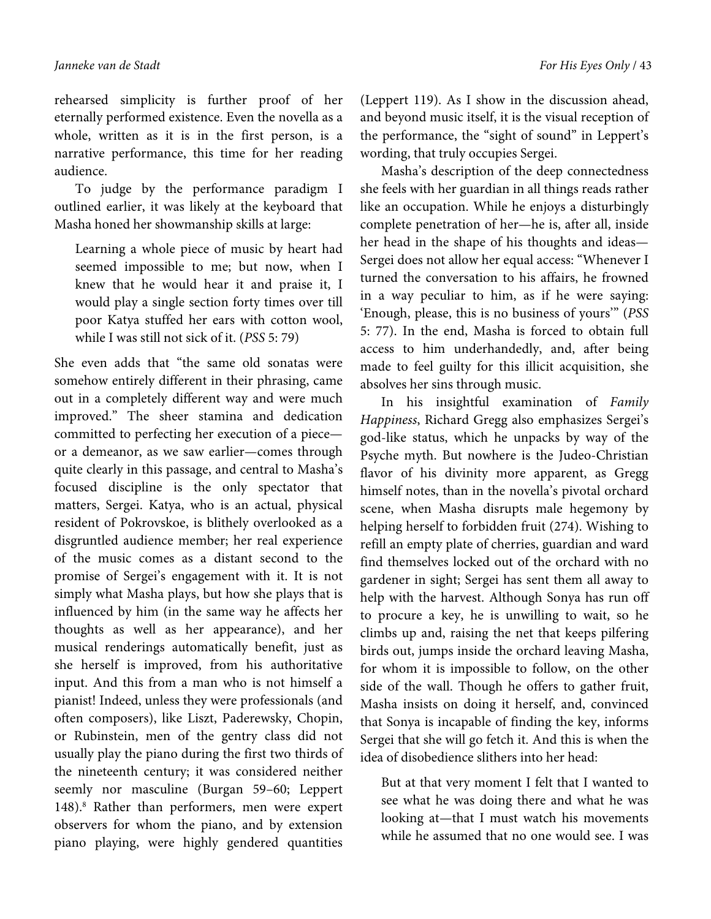rehearsed simplicity is further proof of her eternally performed existence. Even the novella as a whole, written as it is in the first person, is a narrative performance, this time for her reading audience.

To judge by the performance paradigm I outlined earlier, it was likely at the keyboard that Masha honed her showmanship skills at large:

Learning a whole piece of music by heart had seemed impossible to me; but now, when I knew that he would hear it and praise it, I would play a single section forty times over till poor Katya stuffed her ears with cotton wool, while I was still not sick of it. (*PSS* 5: 79)

She even adds that "the same old sonatas were somehow entirely different in their phrasing, came out in a completely different way and were much improved." The sheer stamina and dedication committed to perfecting her execution of a piece or a demeanor, as we saw earlier—comes through quite clearly in this passage, and central to Masha's focused discipline is the only spectator that matters, Sergei. Katya, who is an actual, physical resident of Pokrovskoe, is blithely overlooked as a disgruntled audience member; her real experience of the music comes as a distant second to the promise of Sergei's engagement with it. It is not simply what Masha plays, but how she plays that is influenced by him (in the same way he affects her thoughts as well as her appearance), and her musical renderings automatically benefit, just as she herself is improved, from his authoritative input. And this from a man who is not himself a pianist! Indeed, unless they were professionals (and often composers), like Liszt, Paderewsky, Chopin, or Rubinstein, men of the gentry class did not usually play the piano during the first two thirds of the nineteenth century; it was considered neither seemly nor masculine (Burgan 59–60; Leppert 148).<sup>8</sup> Rather than performers, men were expert observers for whom the piano, and by extension piano playing, were highly gendered quantities

(Leppert 119). As I show in the discussion ahead, and beyond music itself, it is the visual reception of the performance, the "sight of sound" in Leppert's wording, that truly occupies Sergei.

Masha's description of the deep connectedness she feels with her guardian in all things reads rather like an occupation. While he enjoys a disturbingly complete penetration of her—he is, after all, inside her head in the shape of his thoughts and ideas— Sergei does not allow her equal access: "Whenever I turned the conversation to his affairs, he frowned in a way peculiar to him, as if he were saying: 'Enough, please, this is no business of yours'" (*PSS* 5: 77). In the end, Masha is forced to obtain full access to him underhandedly, and, after being made to feel guilty for this illicit acquisition, she absolves her sins through music.

In his insightful examination of *Family Happiness*, Richard Gregg also emphasizes Sergei's god-like status, which he unpacks by way of the Psyche myth. But nowhere is the Judeo-Christian flavor of his divinity more apparent, as Gregg himself notes, than in the novella's pivotal orchard scene, when Masha disrupts male hegemony by helping herself to forbidden fruit (274). Wishing to refill an empty plate of cherries, guardian and ward find themselves locked out of the orchard with no gardener in sight; Sergei has sent them all away to help with the harvest. Although Sonya has run off to procure a key, he is unwilling to wait, so he climbs up and, raising the net that keeps pilfering birds out, jumps inside the orchard leaving Masha, for whom it is impossible to follow, on the other side of the wall. Though he offers to gather fruit, Masha insists on doing it herself, and, convinced that Sonya is incapable of finding the key, informs Sergei that she will go fetch it. And this is when the idea of disobedience slithers into her head:

But at that very moment I felt that I wanted to see what he was doing there and what he was looking at—that I must watch his movements while he assumed that no one would see. I was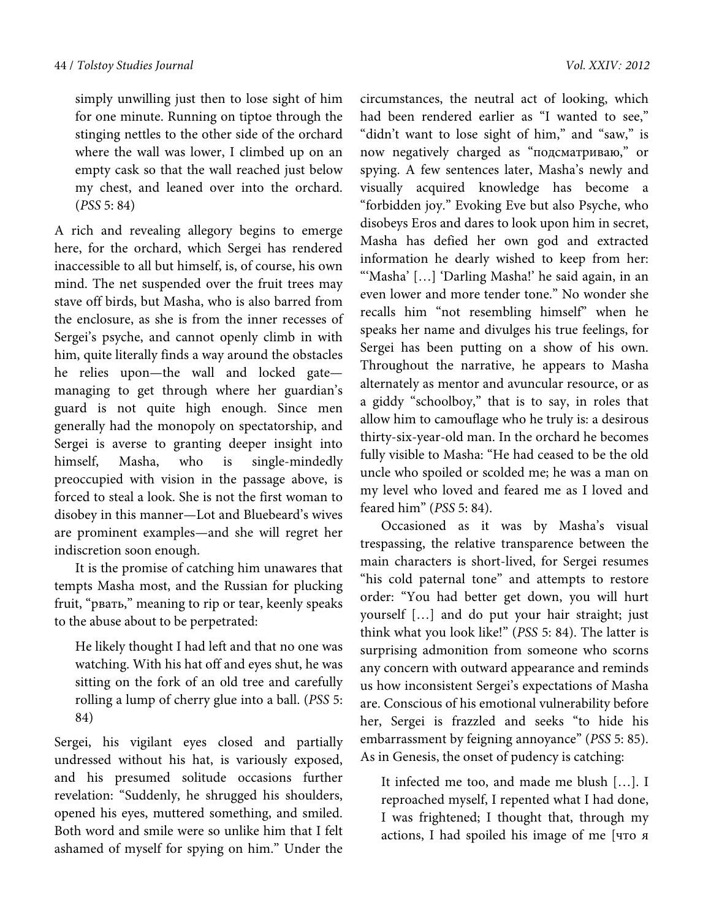simply unwilling just then to lose sight of him for one minute. Running on tiptoe through the stinging nettles to the other side of the orchard where the wall was lower, I climbed up on an empty cask so that the wall reached just below my chest, and leaned over into the orchard. (*PSS* 5: 84)

A rich and revealing allegory begins to emerge here, for the orchard, which Sergei has rendered inaccessible to all but himself, is, of course, his own mind. The net suspended over the fruit trees may stave off birds, but Masha, who is also barred from the enclosure, as she is from the inner recesses of Sergei's psyche, and cannot openly climb in with him, quite literally finds a way around the obstacles he relies upon—the wall and locked gate managing to get through where her guardian's guard is not quite high enough. Since men generally had the monopoly on spectatorship, and Sergei is averse to granting deeper insight into himself, Masha, who is single-mindedly preoccupied with vision in the passage above, is forced to steal a look. She is not the first woman to disobey in this manner—Lot and Bluebeard's wives are prominent examples—and she will regret her indiscretion soon enough.

It is the promise of catching him unawares that tempts Masha most, and the Russian for plucking fruit, "рвать," meaning to rip or tear, keenly speaks to the abuse about to be perpetrated:

He likely thought I had left and that no one was watching. With his hat off and eyes shut, he was sitting on the fork of an old tree and carefully rolling a lump of cherry glue into a ball. (*PSS* 5: 84)

Sergei, his vigilant eyes closed and partially undressed without his hat, is variously exposed, and his presumed solitude occasions further revelation: "Suddenly, he shrugged his shoulders, opened his eyes, muttered something, and smiled. Both word and smile were so unlike him that I felt ashamed of myself for spying on him." Under the circumstances, the neutral act of looking, which had been rendered earlier as "I wanted to see," "didn't want to lose sight of him," and "saw," is now negatively charged as "подсматриваю," or spying. A few sentences later, Masha's newly and visually acquired knowledge has become a "forbidden joy." Evoking Eve but also Psyche, who disobeys Eros and dares to look upon him in secret, Masha has defied her own god and extracted information he dearly wished to keep from her: "'Masha' […] 'Darling Masha!' he said again, in an even lower and more tender tone." No wonder she recalls him "not resembling himself" when he speaks her name and divulges his true feelings, for Sergei has been putting on a show of his own. Throughout the narrative, he appears to Masha alternately as mentor and avuncular resource, or as a giddy "schoolboy," that is to say, in roles that allow him to camouflage who he truly is: a desirous thirty-six-year-old man. In the orchard he becomes fully visible to Masha: "He had ceased to be the old uncle who spoiled or scolded me; he was a man on my level who loved and feared me as I loved and feared him" (*PSS* 5: 84).

Occasioned as it was by Masha's visual trespassing, the relative transparence between the main characters is short-lived, for Sergei resumes "his cold paternal tone" and attempts to restore order: "You had better get down, you will hurt yourself […] and do put your hair straight; just think what you look like!" (*PSS* 5: 84). The latter is surprising admonition from someone who scorns any concern with outward appearance and reminds us how inconsistent Sergei's expectations of Masha are. Conscious of his emotional vulnerability before her, Sergei is frazzled and seeks "to hide his embarrassment by feigning annoyance" (*PSS* 5: 85). As in Genesis, the onset of pudency is catching:

It infected me too, and made me blush […]. I reproached myself, I repented what I had done, I was frightened; I thought that, through my actions, I had spoiled his image of me [что я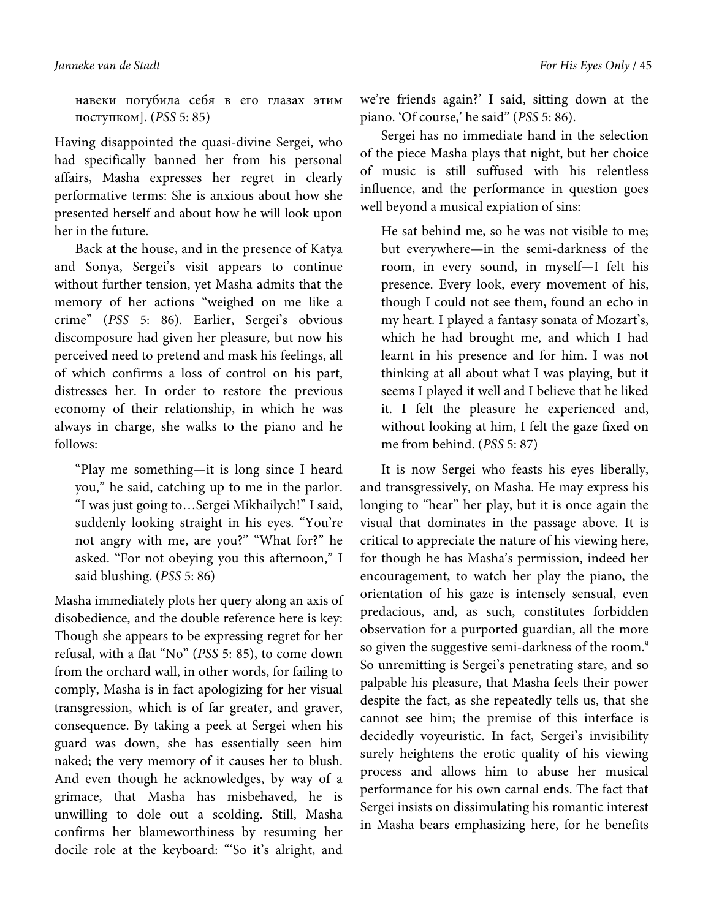навеки погубила себя в его глазах этим поступком]. (*PSS* 5: 85)

Having disappointed the quasi-divine Sergei, who had specifically banned her from his personal affairs, Masha expresses her regret in clearly performative terms: She is anxious about how she presented herself and about how he will look upon her in the future.

Back at the house, and in the presence of Katya and Sonya, Sergei's visit appears to continue without further tension, yet Masha admits that the memory of her actions "weighed on me like a crime" (*PSS* 5: 86). Earlier, Sergei's obvious discomposure had given her pleasure, but now his perceived need to pretend and mask his feelings, all of which confirms a loss of control on his part, distresses her. In order to restore the previous economy of their relationship, in which he was always in charge, she walks to the piano and he follows:

"Play me something—it is long since I heard you," he said, catching up to me in the parlor. "I was just going to…Sergei Mikhailych!" I said, suddenly looking straight in his eyes. "You're not angry with me, are you?" "What for?" he asked. "For not obeying you this afternoon," I said blushing. (*PSS* 5: 86)

Masha immediately plots her query along an axis of disobedience, and the double reference here is key: Though she appears to be expressing regret for her refusal, with a flat "No" (*PSS* 5: 85), to come down from the orchard wall, in other words, for failing to comply, Masha is in fact apologizing for her visual transgression, which is of far greater, and graver, consequence. By taking a peek at Sergei when his guard was down, she has essentially seen him naked; the very memory of it causes her to blush. And even though he acknowledges, by way of a grimace, that Masha has misbehaved, he is unwilling to dole out a scolding. Still, Masha confirms her blameworthiness by resuming her docile role at the keyboard: "'So it's alright, and

we're friends again?' I said, sitting down at the piano. 'Of course,' he said" (*PSS* 5: 86).

Sergei has no immediate hand in the selection of the piece Masha plays that night, but her choice of music is still suffused with his relentless influence, and the performance in question goes well beyond a musical expiation of sins:

He sat behind me, so he was not visible to me; but everywhere—in the semi-darkness of the room, in every sound, in myself—I felt his presence. Every look, every movement of his, though I could not see them, found an echo in my heart. I played a fantasy sonata of Mozart's, which he had brought me, and which I had learnt in his presence and for him. I was not thinking at all about what I was playing, but it seems I played it well and I believe that he liked it. I felt the pleasure he experienced and, without looking at him, I felt the gaze fixed on me from behind. (*PSS* 5: 87)

It is now Sergei who feasts his eyes liberally, and transgressively, on Masha. He may express his longing to "hear" her play, but it is once again the visual that dominates in the passage above. It is critical to appreciate the nature of his viewing here, for though he has Masha's permission, indeed her encouragement, to watch her play the piano, the orientation of his gaze is intensely sensual, even predacious, and, as such, constitutes forbidden observation for a purported guardian, all the more so given the suggestive semi-darkness of the room.<sup>9</sup> So unremitting is Sergei's penetrating stare, and so palpable his pleasure, that Masha feels their power despite the fact, as she repeatedly tells us, that she cannot see him; the premise of this interface is decidedly voyeuristic. In fact, Sergei's invisibility surely heightens the erotic quality of his viewing process and allows him to abuse her musical performance for his own carnal ends. The fact that Sergei insists on dissimulating his romantic interest in Masha bears emphasizing here, for he benefits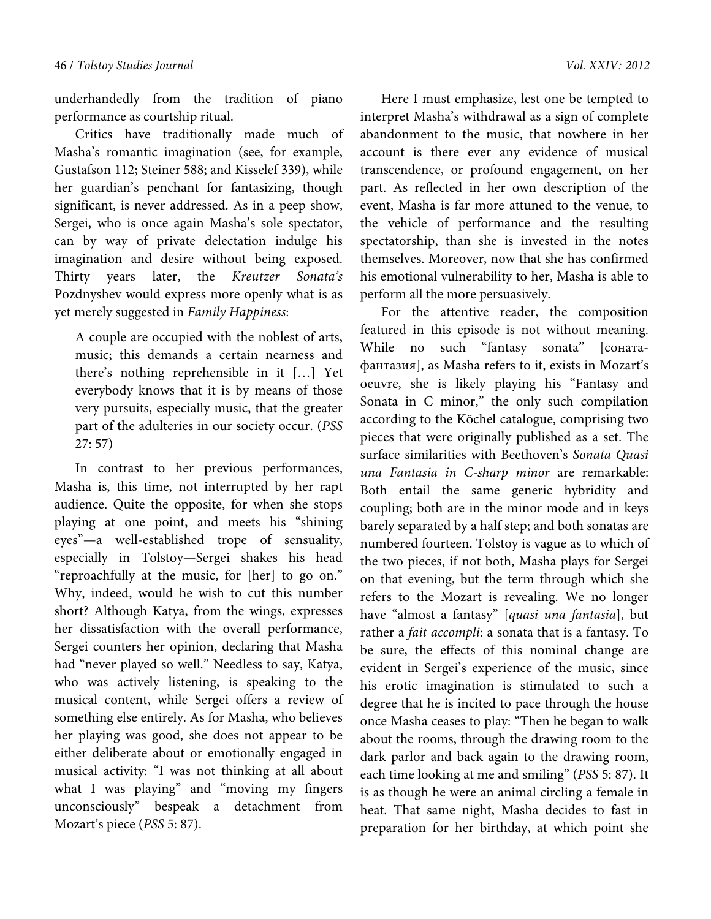underhandedly from the tradition of piano performance as courtship ritual.

Critics have traditionally made much of Masha's romantic imagination (see, for example, Gustafson 112; Steiner 588; and Kisselef 339), while her guardian's penchant for fantasizing, though significant, is never addressed. As in a peep show, Sergei, who is once again Masha's sole spectator, can by way of private delectation indulge his imagination and desire without being exposed. Thirty years later, the *Kreutzer Sonata's* Pozdnyshev would express more openly what is as yet merely suggested in *Family Happiness*:

A couple are occupied with the noblest of arts, music; this demands a certain nearness and there's nothing reprehensible in it […] Yet everybody knows that it is by means of those very pursuits, especially music, that the greater part of the adulteries in our society occur. (*PSS* 27: 57)

In contrast to her previous performances, Masha is, this time, not interrupted by her rapt audience. Quite the opposite, for when she stops playing at one point, and meets his "shining eyes"—a well-established trope of sensuality, especially in Tolstoy—Sergei shakes his head "reproachfully at the music, for [her] to go on." Why, indeed, would he wish to cut this number short? Although Katya, from the wings, expresses her dissatisfaction with the overall performance, Sergei counters her opinion, declaring that Masha had "never played so well." Needless to say, Katya, who was actively listening, is speaking to the musical content, while Sergei offers a review of something else entirely. As for Masha, who believes her playing was good, she does not appear to be either deliberate about or emotionally engaged in musical activity: "I was not thinking at all about what I was playing" and "moving my fingers unconsciously" bespeak a detachment from Mozart's piece (*PSS* 5: 87).

Here I must emphasize, lest one be tempted to interpret Masha's withdrawal as a sign of complete abandonment to the music, that nowhere in her account is there ever any evidence of musical transcendence, or profound engagement, on her part. As reflected in her own description of the event, Masha is far more attuned to the venue, to the vehicle of performance and the resulting spectatorship, than she is invested in the notes themselves. Moreover, now that she has confirmed his emotional vulnerability to her, Masha is able to perform all the more persuasively.

For the attentive reader, the composition featured in this episode is not without meaning. While no such "fantasy sonata" [сонатафантазия], as Masha refers to it, exists in Mozart's oeuvre, she is likely playing his "Fantasy and Sonata in C minor," the only such compilation according to the Köchel catalogue, comprising two pieces that were originally published as a set. The surface similarities with Beethoven's *Sonata Quasi una Fantasia in C-sharp minor* are remarkable: Both entail the same generic hybridity and coupling; both are in the minor mode and in keys barely separated by a half step; and both sonatas are numbered fourteen. Tolstoy is vague as to which of the two pieces, if not both, Masha plays for Sergei on that evening, but the term through which she refers to the Mozart is revealing. We no longer have "almost a fantasy" [*quasi una fantasia*], but rather a *fait accompli*: a sonata that is a fantasy. To be sure, the effects of this nominal change are evident in Sergei's experience of the music, since his erotic imagination is stimulated to such a degree that he is incited to pace through the house once Masha ceases to play: "Then he began to walk about the rooms, through the drawing room to the dark parlor and back again to the drawing room, each time looking at me and smiling" (*PSS* 5: 87). It is as though he were an animal circling a female in heat. That same night, Masha decides to fast in preparation for her birthday, at which point she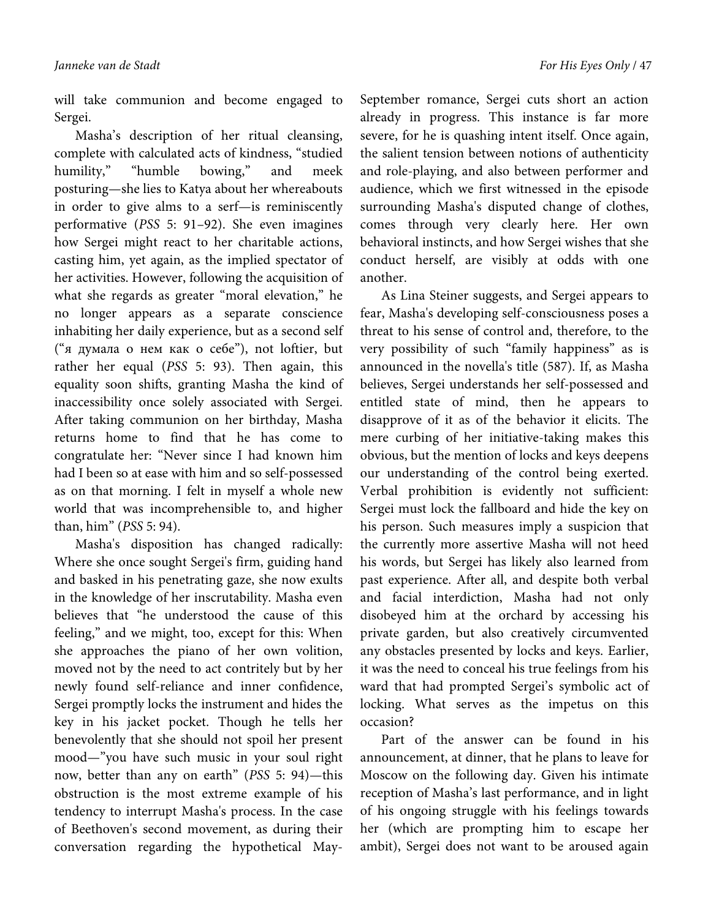will take communion and become engaged to Sergei.

Masha's description of her ritual cleansing, complete with calculated acts of kindness, "studied humility," "humble bowing," and meek posturing—she lies to Katya about her whereabouts in order to give alms to a serf—is reminiscently performative (*PSS* 5: 91–92). She even imagines how Sergei might react to her charitable actions, casting him, yet again, as the implied spectator of her activities. However, following the acquisition of what she regards as greater "moral elevation," he no longer appears as a separate conscience inhabiting her daily experience, but as a second self ("я думала о нем как о себе"), not loftier, but rather her equal (*PSS* 5: 93). Then again, this equality soon shifts, granting Masha the kind of inaccessibility once solely associated with Sergei. After taking communion on her birthday, Masha returns home to find that he has come to congratulate her: "Never since I had known him had I been so at ease with him and so self-possessed as on that morning. I felt in myself a whole new world that was incomprehensible to, and higher than, him" (*PSS* 5: 94).

Masha's disposition has changed radically: Where she once sought Sergei's firm, guiding hand and basked in his penetrating gaze, she now exults in the knowledge of her inscrutability. Masha even believes that "he understood the cause of this feeling," and we might, too, except for this: When she approaches the piano of her own volition, moved not by the need to act contritely but by her newly found self-reliance and inner confidence, Sergei promptly locks the instrument and hides the key in his jacket pocket. Though he tells her benevolently that she should not spoil her present mood—"you have such music in your soul right now, better than any on earth" (*PSS* 5: 94)—this obstruction is the most extreme example of his tendency to interrupt Masha's process. In the case of Beethoven's second movement, as during their conversation regarding the hypothetical MaySeptember romance, Sergei cuts short an action already in progress. This instance is far more severe, for he is quashing intent itself. Once again, the salient tension between notions of authenticity and role-playing, and also between performer and audience, which we first witnessed in the episode surrounding Masha's disputed change of clothes, comes through very clearly here. Her own behavioral instincts, and how Sergei wishes that she conduct herself, are visibly at odds with one another.

As Lina Steiner suggests, and Sergei appears to fear, Masha's developing self-consciousness poses a threat to his sense of control and, therefore, to the very possibility of such "family happiness" as is announced in the novella's title (587). If, as Masha believes, Sergei understands her self-possessed and entitled state of mind, then he appears to disapprove of it as of the behavior it elicits. The mere curbing of her initiative-taking makes this obvious, but the mention of locks and keys deepens our understanding of the control being exerted. Verbal prohibition is evidently not sufficient: Sergei must lock the fallboard and hide the key on his person. Such measures imply a suspicion that the currently more assertive Masha will not heed his words, but Sergei has likely also learned from past experience. After all, and despite both verbal and facial interdiction, Masha had not only disobeyed him at the orchard by accessing his private garden, but also creatively circumvented any obstacles presented by locks and keys. Earlier, it was the need to conceal his true feelings from his ward that had prompted Sergei's symbolic act of locking. What serves as the impetus on this occasion?

Part of the answer can be found in his announcement, at dinner, that he plans to leave for Moscow on the following day. Given his intimate reception of Masha's last performance, and in light of his ongoing struggle with his feelings towards her (which are prompting him to escape her ambit), Sergei does not want to be aroused again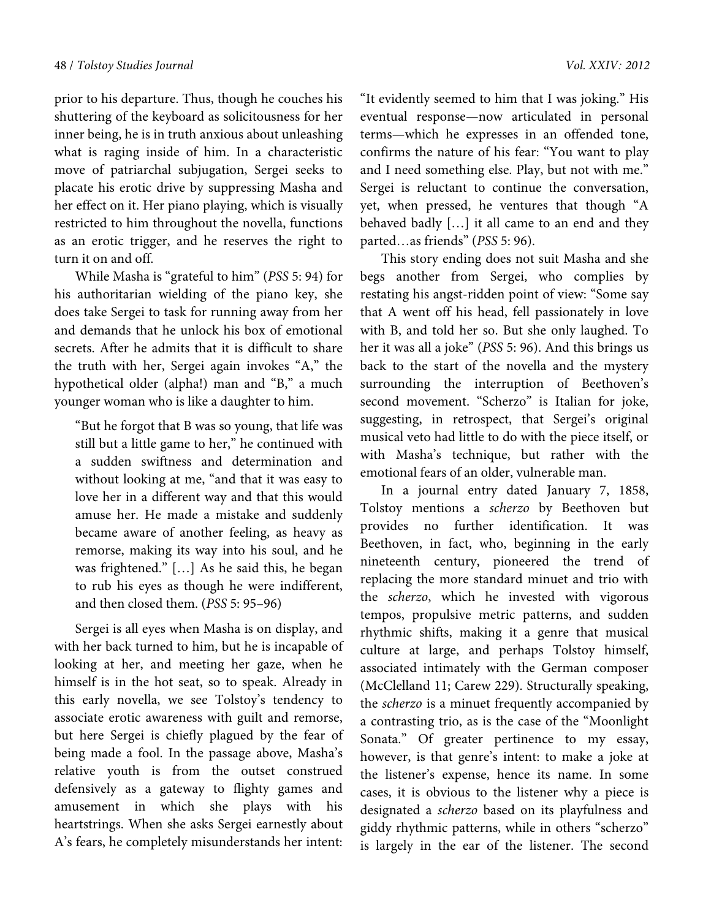prior to his departure. Thus, though he couches his shuttering of the keyboard as solicitousness for her inner being, he is in truth anxious about unleashing what is raging inside of him. In a characteristic move of patriarchal subjugation, Sergei seeks to placate his erotic drive by suppressing Masha and her effect on it. Her piano playing, which is visually restricted to him throughout the novella, functions as an erotic trigger, and he reserves the right to turn it on and off.

While Masha is "grateful to him" (*PSS* 5: 94) for his authoritarian wielding of the piano key, she does take Sergei to task for running away from her and demands that he unlock his box of emotional secrets. After he admits that it is difficult to share the truth with her, Sergei again invokes "A," the hypothetical older (alpha!) man and "B," a much younger woman who is like a daughter to him.

"But he forgot that B was so young, that life was still but a little game to her," he continued with a sudden swiftness and determination and without looking at me, "and that it was easy to love her in a different way and that this would amuse her. He made a mistake and suddenly became aware of another feeling, as heavy as remorse, making its way into his soul, and he was frightened." […] As he said this, he began to rub his eyes as though he were indifferent, and then closed them. (*PSS* 5: 95–96)

Sergei is all eyes when Masha is on display, and with her back turned to him, but he is incapable of looking at her, and meeting her gaze, when he himself is in the hot seat, so to speak. Already in this early novella, we see Tolstoy's tendency to associate erotic awareness with guilt and remorse, but here Sergei is chiefly plagued by the fear of being made a fool. In the passage above, Masha's relative youth is from the outset construed defensively as a gateway to flighty games and amusement in which she plays with his heartstrings. When she asks Sergei earnestly about A's fears, he completely misunderstands her intent:

"It evidently seemed to him that I was joking." His eventual response—now articulated in personal terms—which he expresses in an offended tone, confirms the nature of his fear: "You want to play and I need something else. Play, but not with me." Sergei is reluctant to continue the conversation, yet, when pressed, he ventures that though "A behaved badly […] it all came to an end and they parted…as friends" (*PSS* 5: 96).

This story ending does not suit Masha and she begs another from Sergei, who complies by restating his angst-ridden point of view: "Some say that A went off his head, fell passionately in love with B, and told her so. But she only laughed. To her it was all a joke" (*PSS* 5: 96). And this brings us back to the start of the novella and the mystery surrounding the interruption of Beethoven's second movement. "Scherzo" is Italian for joke, suggesting, in retrospect, that Sergei's original musical veto had little to do with the piece itself, or with Masha's technique, but rather with the emotional fears of an older, vulnerable man.

In a journal entry dated January 7, 1858, Tolstoy mentions a *scherzo* by Beethoven but provides no further identification. It was Beethoven, in fact, who, beginning in the early nineteenth century, pioneered the trend of replacing the more standard minuet and trio with the *scherzo*, which he invested with vigorous tempos, propulsive metric patterns, and sudden rhythmic shifts, making it a genre that musical culture at large, and perhaps Tolstoy himself, associated intimately with the German composer (McClelland 11; Carew 229). Structurally speaking, the *scherzo* is a minuet frequently accompanied by a contrasting trio, as is the case of the "Moonlight Sonata." Of greater pertinence to my essay, however, is that genre's intent: to make a joke at the listener's expense, hence its name. In some cases, it is obvious to the listener why a piece is designated a *scherzo* based on its playfulness and giddy rhythmic patterns, while in others "scherzo" is largely in the ear of the listener. The second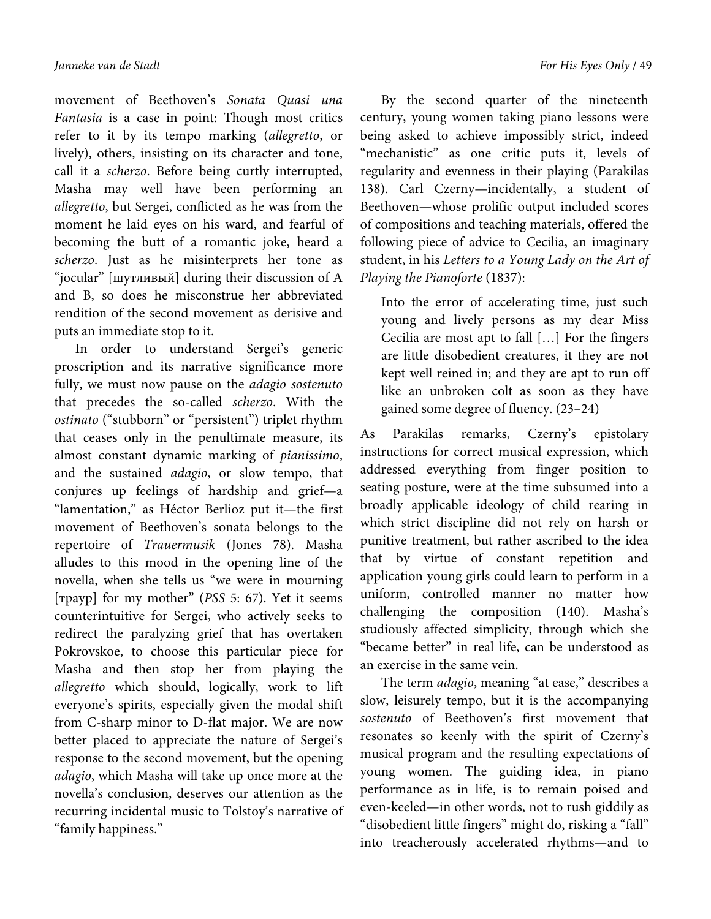movement of Beethoven's *Sonata Quasi una Fantasia* is a case in point: Though most critics refer to it by its tempo marking (*allegretto*, or lively), others, insisting on its character and tone, call it a *scherzo*. Before being curtly interrupted, Masha may well have been performing an *allegretto*, but Sergei, conflicted as he was from the moment he laid eyes on his ward, and fearful of becoming the butt of a romantic joke, heard a *scherzo*. Just as he misinterprets her tone as "jocular" [шутливый] during their discussion of A and B, so does he misconstrue her abbreviated rendition of the second movement as derisive and puts an immediate stop to it.

In order to understand Sergei's generic proscription and its narrative significance more fully, we must now pause on the *adagio sostenuto* that precedes the so-called *scherzo*. With the *ostinato* ("stubborn" or "persistent") triplet rhythm that ceases only in the penultimate measure, its almost constant dynamic marking of *pianissimo*, and the sustained *adagio*, or slow tempo, that conjures up feelings of hardship and grief—a "lamentation," as Héctor Berlioz put it—the first movement of Beethoven's sonata belongs to the repertoire of *Trauermusik* (Jones 78). Masha alludes to this mood in the opening line of the novella, when she tells us "we were in mourning [траур] for my mother" (*PSS* 5: 67). Yet it seems counterintuitive for Sergei, who actively seeks to redirect the paralyzing grief that has overtaken Pokrovskoe, to choose this particular piece for Masha and then stop her from playing the *allegretto* which should, logically, work to lift everyone's spirits, especially given the modal shift from C-sharp minor to D-flat major. We are now better placed to appreciate the nature of Sergei's response to the second movement, but the opening *adagio*, which Masha will take up once more at the novella's conclusion, deserves our attention as the recurring incidental music to Tolstoy's narrative of "family happiness."

By the second quarter of the nineteenth century, young women taking piano lessons were being asked to achieve impossibly strict, indeed "mechanistic" as one critic puts it, levels of regularity and evenness in their playing (Parakilas 138). Carl Czerny—incidentally, a student of Beethoven—whose prolific output included scores of compositions and teaching materials, offered the following piece of advice to Cecilia, an imaginary student, in his *Letters to a Young Lady on the Art of Playing the Pianoforte* (1837):

Into the error of accelerating time, just such young and lively persons as my dear Miss Cecilia are most apt to fall […] For the fingers are little disobedient creatures, it they are not kept well reined in; and they are apt to run off like an unbroken colt as soon as they have gained some degree of fluency. (23–24)

As Parakilas remarks, Czerny's epistolary instructions for correct musical expression, which addressed everything from finger position to seating posture, were at the time subsumed into a broadly applicable ideology of child rearing in which strict discipline did not rely on harsh or punitive treatment, but rather ascribed to the idea that by virtue of constant repetition and application young girls could learn to perform in a uniform, controlled manner no matter how challenging the composition (140). Masha's studiously affected simplicity, through which she "became better" in real life, can be understood as an exercise in the same vein.

The term *adagio*, meaning "at ease," describes a slow, leisurely tempo, but it is the accompanying *sostenuto* of Beethoven's first movement that resonates so keenly with the spirit of Czerny's musical program and the resulting expectations of young women. The guiding idea, in piano performance as in life, is to remain poised and even-keeled—in other words, not to rush giddily as "disobedient little fingers" might do, risking a "fall" into treacherously accelerated rhythms—and to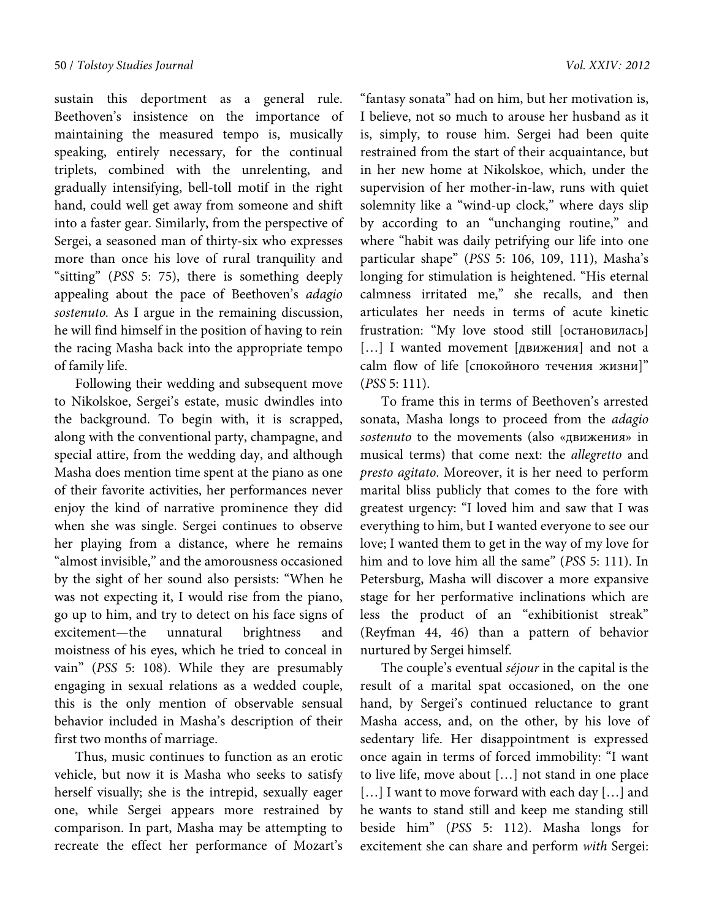sustain this deportment as a general rule. Beethoven's insistence on the importance of maintaining the measured tempo is, musically speaking, entirely necessary, for the continual triplets, combined with the unrelenting, and gradually intensifying, bell-toll motif in the right hand, could well get away from someone and shift into a faster gear. Similarly, from the perspective of Sergei, a seasoned man of thirty-six who expresses more than once his love of rural tranquility and "sitting" (*PSS* 5: 75), there is something deeply appealing about the pace of Beethoven's *adagio sostenuto.* As I argue in the remaining discussion, he will find himself in the position of having to rein the racing Masha back into the appropriate tempo of family life.

Following their wedding and subsequent move to Nikolskoe, Sergei's estate, music dwindles into the background. To begin with, it is scrapped, along with the conventional party, champagne, and special attire, from the wedding day, and although Masha does mention time spent at the piano as one of their favorite activities, her performances never enjoy the kind of narrative prominence they did when she was single. Sergei continues to observe her playing from a distance, where he remains "almost invisible," and the amorousness occasioned by the sight of her sound also persists: "When he was not expecting it, I would rise from the piano, go up to him, and try to detect on his face signs of excitement—the unnatural brightness and moistness of his eyes, which he tried to conceal in vain" (*PSS* 5: 108). While they are presumably engaging in sexual relations as a wedded couple, this is the only mention of observable sensual behavior included in Masha's description of their first two months of marriage.

Thus, music continues to function as an erotic vehicle, but now it is Masha who seeks to satisfy herself visually; she is the intrepid, sexually eager one, while Sergei appears more restrained by comparison. In part, Masha may be attempting to recreate the effect her performance of Mozart's

"fantasy sonata" had on him, but her motivation is, I believe, not so much to arouse her husband as it is, simply, to rouse him. Sergei had been quite restrained from the start of their acquaintance, but in her new home at Nikolskoe, which, under the supervision of her mother-in-law, runs with quiet solemnity like a "wind-up clock," where days slip by according to an "unchanging routine," and where "habit was daily petrifying our life into one particular shape" (*PSS* 5: 106, 109, 111), Masha's longing for stimulation is heightened. "His eternal calmness irritated me," she recalls, and then articulates her needs in terms of acute kinetic frustration: "My love stood still [остановилась] […] I wanted movement [движения] and not a calm flow of life [спокойного течения жизни]" (*PSS* 5: 111).

To frame this in terms of Beethoven's arrested sonata, Masha longs to proceed from the *adagio sostenuto* to the movements (also «движения» in musical terms) that come next: the *allegretto* and *presto agitato*. Moreover, it is her need to perform marital bliss publicly that comes to the fore with greatest urgency: "I loved him and saw that I was everything to him, but I wanted everyone to see our love; I wanted them to get in the way of my love for him and to love him all the same" (*PSS* 5: 111). In Petersburg, Masha will discover a more expansive stage for her performative inclinations which are less the product of an "exhibitionist streak" (Reyfman 44, 46) than a pattern of behavior nurtured by Sergei himself.

The couple's eventual *séjour* in the capital is the result of a marital spat occasioned, on the one hand, by Sergei's continued reluctance to grant Masha access, and, on the other, by his love of sedentary life. Her disappointment is expressed once again in terms of forced immobility: "I want to live life, move about […] not stand in one place [...] I want to move forward with each day [...] and he wants to stand still and keep me standing still beside him" (*PSS* 5: 112). Masha longs for excitement she can share and perform *with* Sergei: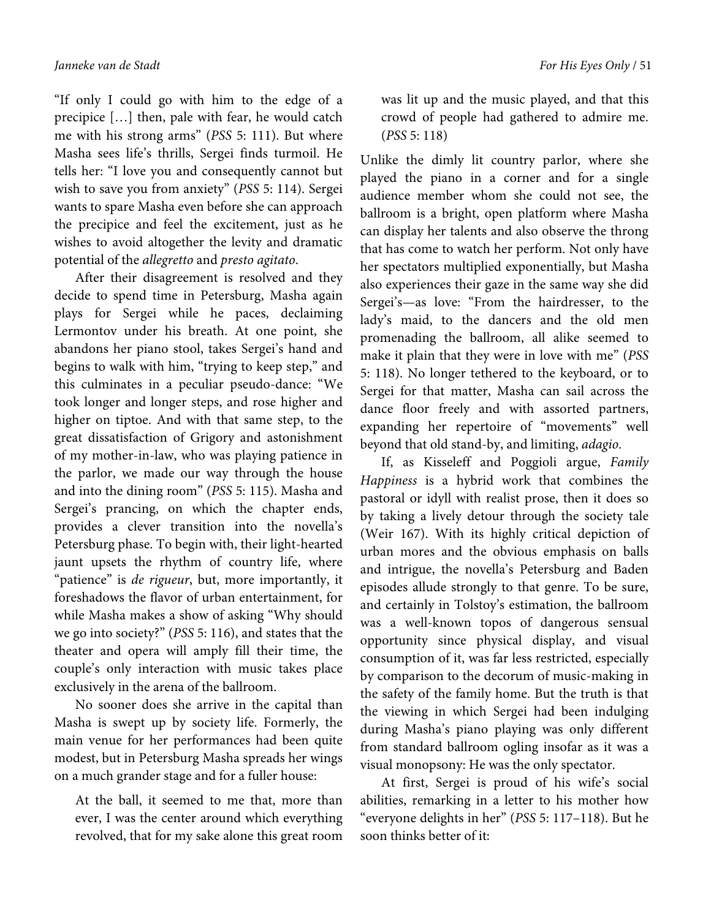"If only I could go with him to the edge of a precipice […] then, pale with fear, he would catch me with his strong arms" (*PSS* 5: 111). But where Masha sees life's thrills, Sergei finds turmoil. He tells her: "I love you and consequently cannot but wish to save you from anxiety" (*PSS* 5: 114). Sergei wants to spare Masha even before she can approach the precipice and feel the excitement, just as he wishes to avoid altogether the levity and dramatic potential of the *allegretto* and *presto agitato*.

After their disagreement is resolved and they decide to spend time in Petersburg, Masha again plays for Sergei while he paces, declaiming Lermontov under his breath. At one point, she abandons her piano stool, takes Sergei's hand and begins to walk with him, "trying to keep step," and this culminates in a peculiar pseudo-dance: "We took longer and longer steps, and rose higher and higher on tiptoe. And with that same step, to the great dissatisfaction of Grigory and astonishment of my mother-in-law, who was playing patience in the parlor, we made our way through the house and into the dining room" (*PSS* 5: 115). Masha and Sergei's prancing, on which the chapter ends, provides a clever transition into the novella's Petersburg phase. To begin with, their light-hearted jaunt upsets the rhythm of country life, where "patience" is *de rigueur*, but, more importantly, it foreshadows the flavor of urban entertainment, for while Masha makes a show of asking "Why should we go into society?" (*PSS* 5: 116), and states that the theater and opera will amply fill their time, the couple's only interaction with music takes place exclusively in the arena of the ballroom.

No sooner does she arrive in the capital than Masha is swept up by society life. Formerly, the main venue for her performances had been quite modest, but in Petersburg Masha spreads her wings on a much grander stage and for a fuller house:

At the ball, it seemed to me that, more than ever, I was the center around which everything revolved, that for my sake alone this great room was lit up and the music played, and that this crowd of people had gathered to admire me. (*PSS* 5: 118)

Unlike the dimly lit country parlor, where she played the piano in a corner and for a single audience member whom she could not see, the ballroom is a bright, open platform where Masha can display her talents and also observe the throng that has come to watch her perform. Not only have her spectators multiplied exponentially, but Masha also experiences their gaze in the same way she did Sergei's—as love: "From the hairdresser, to the lady's maid, to the dancers and the old men promenading the ballroom, all alike seemed to make it plain that they were in love with me" (*PSS* 5: 118). No longer tethered to the keyboard, or to Sergei for that matter, Masha can sail across the dance floor freely and with assorted partners, expanding her repertoire of "movements" well beyond that old stand-by, and limiting, *adagio*.

If, as Kisseleff and Poggioli argue, *Family Happiness* is a hybrid work that combines the pastoral or idyll with realist prose, then it does so by taking a lively detour through the society tale (Weir 167). With its highly critical depiction of urban mores and the obvious emphasis on balls and intrigue, the novella's Petersburg and Baden episodes allude strongly to that genre. To be sure, and certainly in Tolstoy's estimation, the ballroom was a well-known topos of dangerous sensual opportunity since physical display, and visual consumption of it, was far less restricted, especially by comparison to the decorum of music-making in the safety of the family home. But the truth is that the viewing in which Sergei had been indulging during Masha's piano playing was only different from standard ballroom ogling insofar as it was a visual monopsony: He was the only spectator.

At first, Sergei is proud of his wife's social abilities, remarking in a letter to his mother how "everyone delights in her" (*PSS* 5: 117–118). But he soon thinks better of it: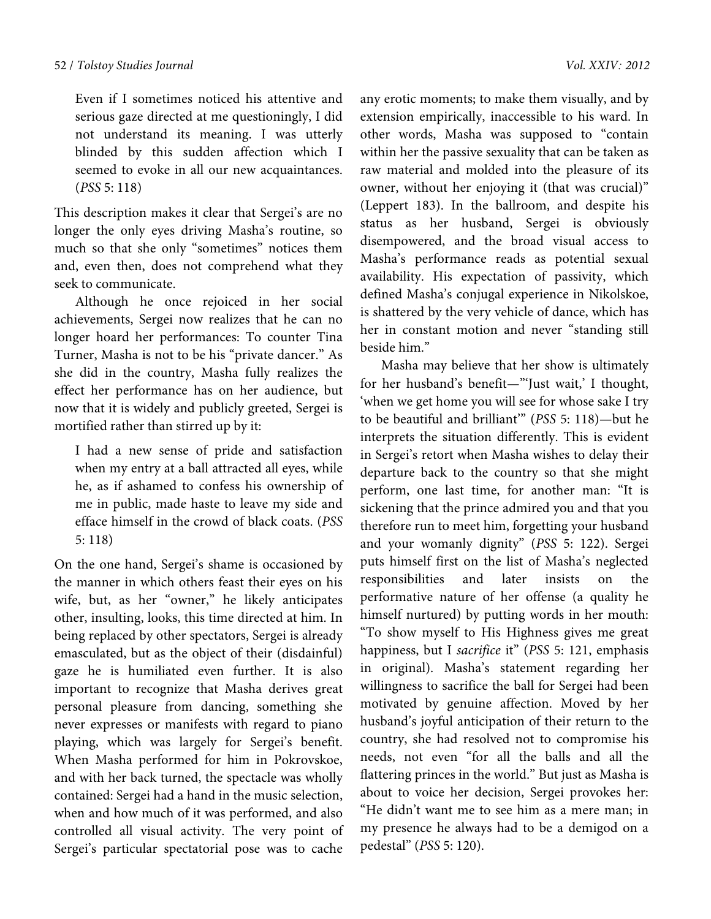Even if I sometimes noticed his attentive and serious gaze directed at me questioningly, I did not understand its meaning. I was utterly blinded by this sudden affection which I seemed to evoke in all our new acquaintances. (*PSS* 5: 118)

This description makes it clear that Sergei's are no longer the only eyes driving Masha's routine, so much so that she only "sometimes" notices them and, even then, does not comprehend what they seek to communicate.

Although he once rejoiced in her social achievements, Sergei now realizes that he can no longer hoard her performances: To counter Tina Turner, Masha is not to be his "private dancer." As she did in the country, Masha fully realizes the effect her performance has on her audience, but now that it is widely and publicly greeted, Sergei is mortified rather than stirred up by it:

I had a new sense of pride and satisfaction when my entry at a ball attracted all eyes, while he, as if ashamed to confess his ownership of me in public, made haste to leave my side and efface himself in the crowd of black coats. (*PSS* 5: 118)

On the one hand, Sergei's shame is occasioned by the manner in which others feast their eyes on his wife, but, as her "owner," he likely anticipates other, insulting, looks, this time directed at him. In being replaced by other spectators, Sergei is already emasculated, but as the object of their (disdainful) gaze he is humiliated even further. It is also important to recognize that Masha derives great personal pleasure from dancing, something she never expresses or manifests with regard to piano playing, which was largely for Sergei's benefit. When Masha performed for him in Pokrovskoe, and with her back turned, the spectacle was wholly contained: Sergei had a hand in the music selection, when and how much of it was performed, and also controlled all visual activity. The very point of Sergei's particular spectatorial pose was to cache

any erotic moments; to make them visually, and by extension empirically, inaccessible to his ward. In other words, Masha was supposed to "contain within her the passive sexuality that can be taken as raw material and molded into the pleasure of its owner, without her enjoying it (that was crucial)" (Leppert 183). In the ballroom, and despite his status as her husband, Sergei is obviously disempowered, and the broad visual access to Masha's performance reads as potential sexual availability. His expectation of passivity, which defined Masha's conjugal experience in Nikolskoe, is shattered by the very vehicle of dance, which has her in constant motion and never "standing still beside him."

Masha may believe that her show is ultimately for her husband's benefit—"'Just wait,' I thought, 'when we get home you will see for whose sake I try to be beautiful and brilliant'" (*PSS* 5: 118)—but he interprets the situation differently. This is evident in Sergei's retort when Masha wishes to delay their departure back to the country so that she might perform, one last time, for another man: "It is sickening that the prince admired you and that you therefore run to meet him, forgetting your husband and your womanly dignity" (*PSS* 5: 122). Sergei puts himself first on the list of Masha's neglected responsibilities and later insists on the performative nature of her offense (a quality he himself nurtured) by putting words in her mouth: "To show myself to His Highness gives me great happiness, but I *sacrifice* it" (*PSS* 5: 121, emphasis in original). Masha's statement regarding her willingness to sacrifice the ball for Sergei had been motivated by genuine affection. Moved by her husband's joyful anticipation of their return to the country, she had resolved not to compromise his needs, not even "for all the balls and all the flattering princes in the world." But just as Masha is about to voice her decision, Sergei provokes her: "He didn't want me to see him as a mere man; in my presence he always had to be a demigod on a pedestal" (*PSS* 5: 120).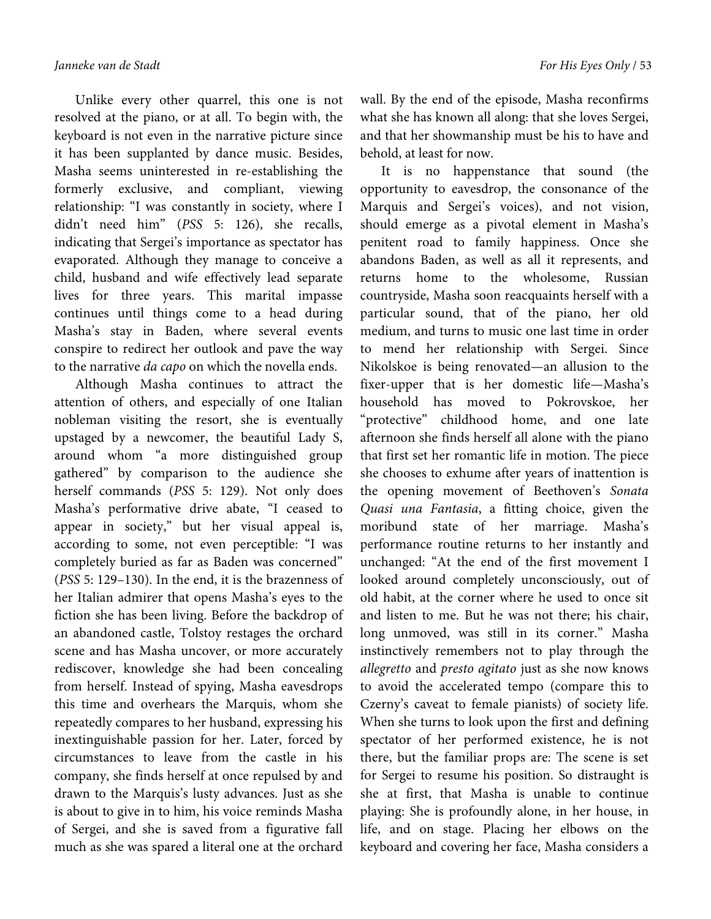Unlike every other quarrel, this one is not resolved at the piano, or at all. To begin with, the keyboard is not even in the narrative picture since it has been supplanted by dance music. Besides, Masha seems uninterested in re-establishing the formerly exclusive, and compliant, viewing relationship: "I was constantly in society, where I didn't need him" (*PSS* 5: 126), she recalls, indicating that Sergei's importance as spectator has evaporated. Although they manage to conceive a child, husband and wife effectively lead separate lives for three years. This marital impasse continues until things come to a head during Masha's stay in Baden, where several events conspire to redirect her outlook and pave the way to the narrative *da capo* on which the novella ends.

Although Masha continues to attract the attention of others, and especially of one Italian nobleman visiting the resort, she is eventually upstaged by a newcomer, the beautiful Lady S, around whom "a more distinguished group gathered" by comparison to the audience she herself commands (*PSS* 5: 129). Not only does Masha's performative drive abate, "I ceased to appear in society," but her visual appeal is, according to some, not even perceptible: "I was completely buried as far as Baden was concerned" (*PSS* 5: 129–130). In the end, it is the brazenness of her Italian admirer that opens Masha's eyes to the fiction she has been living. Before the backdrop of an abandoned castle, Tolstoy restages the orchard scene and has Masha uncover, or more accurately rediscover, knowledge she had been concealing from herself. Instead of spying, Masha eavesdrops this time and overhears the Marquis, whom she repeatedly compares to her husband, expressing his inextinguishable passion for her. Later, forced by circumstances to leave from the castle in his company, she finds herself at once repulsed by and drawn to the Marquis's lusty advances. Just as she is about to give in to him, his voice reminds Masha of Sergei, and she is saved from a figurative fall much as she was spared a literal one at the orchard wall. By the end of the episode, Masha reconfirms what she has known all along: that she loves Sergei, and that her showmanship must be his to have and behold, at least for now.

It is no happenstance that sound (the opportunity to eavesdrop, the consonance of the Marquis and Sergei's voices), and not vision, should emerge as a pivotal element in Masha's penitent road to family happiness. Once she abandons Baden, as well as all it represents, and returns home to the wholesome, Russian countryside, Masha soon reacquaints herself with a particular sound, that of the piano, her old medium, and turns to music one last time in order to mend her relationship with Sergei. Since Nikolskoe is being renovated—an allusion to the fixer-upper that is her domestic life—Masha's household has moved to Pokrovskoe, her "protective" childhood home, and one late afternoon she finds herself all alone with the piano that first set her romantic life in motion. The piece she chooses to exhume after years of inattention is the opening movement of Beethoven's *Sonata Quasi una Fantasia*, a fitting choice, given the moribund state of her marriage. Masha's performance routine returns to her instantly and unchanged: "At the end of the first movement I looked around completely unconsciously, out of old habit, at the corner where he used to once sit and listen to me. But he was not there; his chair, long unmoved, was still in its corner." Masha instinctively remembers not to play through the *allegretto* and *presto agitato* just as she now knows to avoid the accelerated tempo (compare this to Czerny's caveat to female pianists) of society life. When she turns to look upon the first and defining spectator of her performed existence, he is not there, but the familiar props are: The scene is set for Sergei to resume his position. So distraught is she at first, that Masha is unable to continue playing: She is profoundly alone, in her house, in life, and on stage. Placing her elbows on the keyboard and covering her face, Masha considers a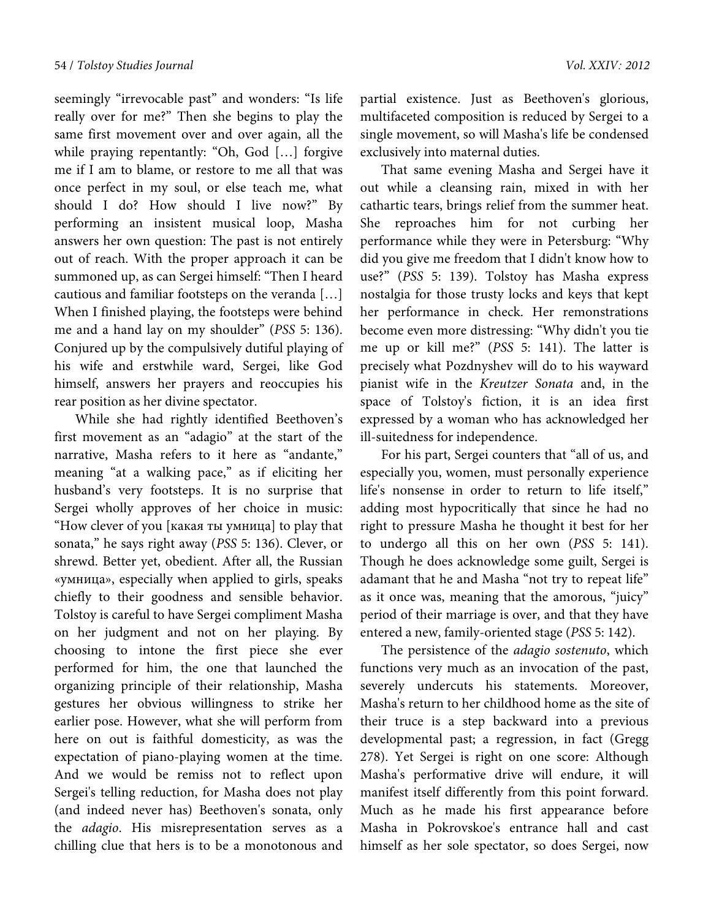seemingly "irrevocable past" and wonders: "Is life really over for me?" Then she begins to play the same first movement over and over again, all the while praying repentantly: "Oh, God […] forgive me if I am to blame, or restore to me all that was once perfect in my soul, or else teach me, what should I do? How should I live now?" By performing an insistent musical loop, Masha answers her own question: The past is not entirely out of reach. With the proper approach it can be summoned up, as can Sergei himself: "Then I heard cautious and familiar footsteps on the veranda […] When I finished playing, the footsteps were behind me and a hand lay on my shoulder" (*PSS* 5: 136). Conjured up by the compulsively dutiful playing of his wife and erstwhile ward, Sergei, like God himself, answers her prayers and reoccupies his rear position as her divine spectator.

While she had rightly identified Beethoven's first movement as an "adagio" at the start of the narrative, Masha refers to it here as "andante," meaning "at a walking pace," as if eliciting her husband's very footsteps. It is no surprise that Sergei wholly approves of her choice in music: "How clever of you [какая ты умница] to play that sonata," he says right away (*PSS* 5: 136). Clever, or shrewd. Better yet, obedient. After all, the Russian «умница», especially when applied to girls, speaks chiefly to their goodness and sensible behavior. Tolstoy is careful to have Sergei compliment Masha on her judgment and not on her playing. By choosing to intone the first piece she ever performed for him, the one that launched the organizing principle of their relationship, Masha gestures her obvious willingness to strike her earlier pose. However, what she will perform from here on out is faithful domesticity, as was the expectation of piano-playing women at the time. And we would be remiss not to reflect upon Sergei's telling reduction, for Masha does not play (and indeed never has) Beethoven's sonata, only the *adagio*. His misrepresentation serves as a chilling clue that hers is to be a monotonous and

partial existence. Just as Beethoven's glorious, multifaceted composition is reduced by Sergei to a single movement, so will Masha's life be condensed exclusively into maternal duties.

That same evening Masha and Sergei have it out while a cleansing rain, mixed in with her cathartic tears, brings relief from the summer heat. She reproaches him for not curbing her performance while they were in Petersburg: "Why did you give me freedom that I didn't know how to use?" (*PSS* 5: 139). Tolstoy has Masha express nostalgia for those trusty locks and keys that kept her performance in check. Her remonstrations become even more distressing: "Why didn't you tie me up or kill me?" (*PSS* 5: 141). The latter is precisely what Pozdnyshev will do to his wayward pianist wife in the *Kreutzer Sonata* and, in the space of Tolstoy's fiction, it is an idea first expressed by a woman who has acknowledged her ill-suitedness for independence.

For his part, Sergei counters that "all of us, and especially you, women, must personally experience life's nonsense in order to return to life itself," adding most hypocritically that since he had no right to pressure Masha he thought it best for her to undergo all this on her own (*PSS* 5: 141). Though he does acknowledge some guilt, Sergei is adamant that he and Masha "not try to repeat life" as it once was, meaning that the amorous, "juicy" period of their marriage is over, and that they have entered a new, family-oriented stage (*PSS* 5: 142).

The persistence of the *adagio sostenuto*, which functions very much as an invocation of the past, severely undercuts his statements. Moreover, Masha's return to her childhood home as the site of their truce is a step backward into a previous developmental past; a regression, in fact (Gregg 278). Yet Sergei is right on one score: Although Masha's performative drive will endure, it will manifest itself differently from this point forward. Much as he made his first appearance before Masha in Pokrovskoe's entrance hall and cast himself as her sole spectator, so does Sergei, now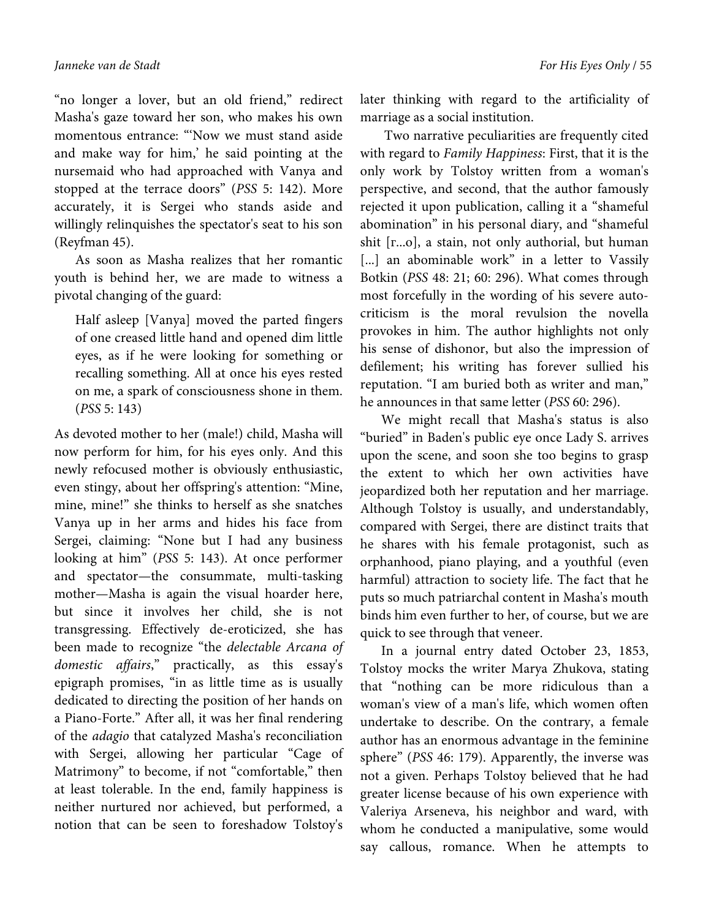"no longer a lover, but an old friend," redirect Masha's gaze toward her son, who makes his own momentous entrance: "'Now we must stand aside and make way for him,' he said pointing at the nursemaid who had approached with Vanya and stopped at the terrace doors" (*PSS* 5: 142). More accurately, it is Sergei who stands aside and willingly relinquishes the spectator's seat to his son (Reyfman 45).

As soon as Masha realizes that her romantic youth is behind her, we are made to witness a pivotal changing of the guard:

Half asleep [Vanya] moved the parted fingers of one creased little hand and opened dim little eyes, as if he were looking for something or recalling something. All at once his eyes rested on me, a spark of consciousness shone in them. (*PSS* 5: 143)

As devoted mother to her (male!) child, Masha will now perform for him, for his eyes only. And this newly refocused mother is obviously enthusiastic, even stingy, about her offspring's attention: "Mine, mine, mine!" she thinks to herself as she snatches Vanya up in her arms and hides his face from Sergei, claiming: "None but I had any business looking at him" (*PSS* 5: 143). At once performer and spectator—the consummate, multi-tasking mother—Masha is again the visual hoarder here, but since it involves her child, she is not transgressing. Effectively de-eroticized, she has been made to recognize "the *delectable Arcana of domestic affairs*," practically, as this essay's epigraph promises, "in as little time as is usually dedicated to directing the position of her hands on a Piano-Forte." After all, it was her final rendering of the *adagio* that catalyzed Masha's reconciliation with Sergei, allowing her particular "Cage of Matrimony" to become, if not "comfortable," then at least tolerable. In the end, family happiness is neither nurtured nor achieved, but performed, a notion that can be seen to foreshadow Tolstoy's

later thinking with regard to the artificiality of marriage as a social institution.

 Two narrative peculiarities are frequently cited with regard to *Family Happiness*: First, that it is the only work by Tolstoy written from a woman's perspective, and second, that the author famously rejected it upon publication, calling it a "shameful abomination" in his personal diary, and "shameful shit [г...о], a stain, not only authorial, but human [...] an abominable work" in a letter to Vassily Botkin (*PSS* 48: 21; 60: 296). What comes through most forcefully in the wording of his severe autocriticism is the moral revulsion the novella provokes in him. The author highlights not only his sense of dishonor, but also the impression of defilement; his writing has forever sullied his reputation. "I am buried both as writer and man," he announces in that same letter (*PSS* 60: 296).

We might recall that Masha's status is also "buried" in Baden's public eye once Lady S. arrives upon the scene, and soon she too begins to grasp the extent to which her own activities have jeopardized both her reputation and her marriage. Although Tolstoy is usually, and understandably, compared with Sergei, there are distinct traits that he shares with his female protagonist, such as orphanhood, piano playing, and a youthful (even harmful) attraction to society life. The fact that he puts so much patriarchal content in Masha's mouth binds him even further to her, of course, but we are quick to see through that veneer.

In a journal entry dated October 23, 1853, Tolstoy mocks the writer Marya Zhukova, stating that "nothing can be more ridiculous than a woman's view of a man's life, which women often undertake to describe. On the contrary, a female author has an enormous advantage in the feminine sphere" (*PSS* 46: 179). Apparently, the inverse was not a given. Perhaps Tolstoy believed that he had greater license because of his own experience with Valeriya Arseneva, his neighbor and ward, with whom he conducted a manipulative, some would say callous, romance. When he attempts to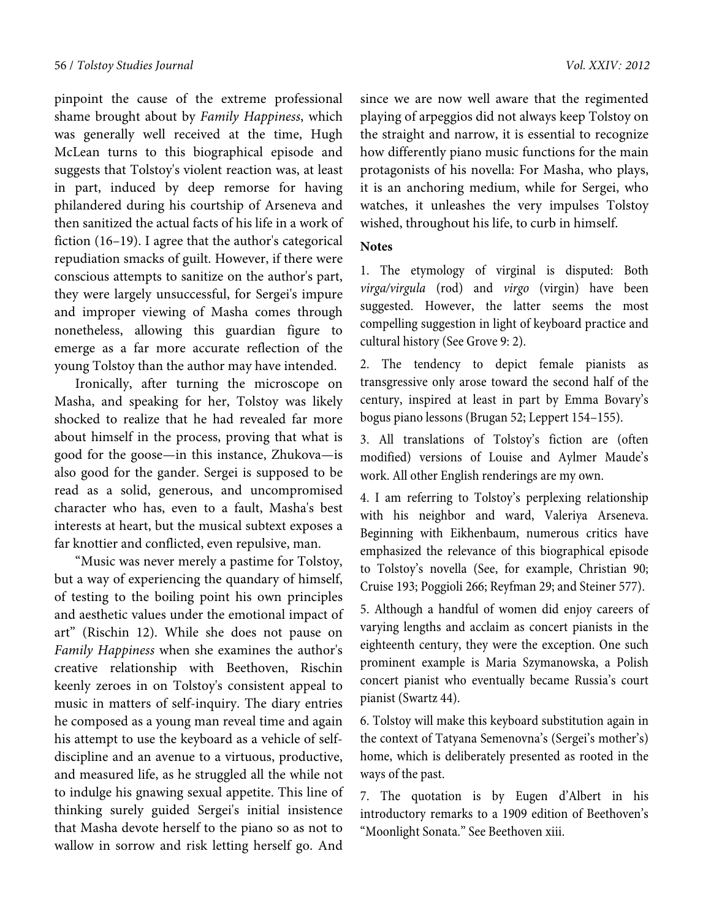pinpoint the cause of the extreme professional shame brought about by *Family Happiness*, which was generally well received at the time, Hugh McLean turns to this biographical episode and suggests that Tolstoy's violent reaction was, at least in part, induced by deep remorse for having philandered during his courtship of Arseneva and then sanitized the actual facts of his life in a work of fiction (16–19). I agree that the author's categorical repudiation smacks of guilt. However, if there were conscious attempts to sanitize on the author's part, they were largely unsuccessful, for Sergei's impure and improper viewing of Masha comes through nonetheless, allowing this guardian figure to emerge as a far more accurate reflection of the young Tolstoy than the author may have intended.

Ironically, after turning the microscope on Masha, and speaking for her, Tolstoy was likely shocked to realize that he had revealed far more about himself in the process, proving that what is good for the goose—in this instance, Zhukova—is also good for the gander. Sergei is supposed to be read as a solid, generous, and uncompromised character who has, even to a fault, Masha's best interests at heart, but the musical subtext exposes a far knottier and conflicted, even repulsive, man.

"Music was never merely a pastime for Tolstoy, but a way of experiencing the quandary of himself, of testing to the boiling point his own principles and aesthetic values under the emotional impact of art" (Rischin 12). While she does not pause on *Family Happiness* when she examines the author's creative relationship with Beethoven, Rischin keenly zeroes in on Tolstoy's consistent appeal to music in matters of self-inquiry. The diary entries he composed as a young man reveal time and again his attempt to use the keyboard as a vehicle of selfdiscipline and an avenue to a virtuous, productive, and measured life, as he struggled all the while not to indulge his gnawing sexual appetite. This line of thinking surely guided Sergei's initial insistence that Masha devote herself to the piano so as not to wallow in sorrow and risk letting herself go. And

since we are now well aware that the regimented playing of arpeggios did not always keep Tolstoy on the straight and narrow, it is essential to recognize how differently piano music functions for the main protagonists of his novella: For Masha, who plays, it is an anchoring medium, while for Sergei, who watches, it unleashes the very impulses Tolstoy wished, throughout his life, to curb in himself.

## **Notes**

1. The etymology of virginal is disputed: Both *virga/virgula* (rod) and *virgo* (virgin) have been suggested. However, the latter seems the most compelling suggestion in light of keyboard practice and cultural history (See Grove 9: 2).

2. The tendency to depict female pianists as transgressive only arose toward the second half of the century, inspired at least in part by Emma Bovary's bogus piano lessons (Brugan 52; Leppert 154–155).

3. All translations of Tolstoy's fiction are (often modified) versions of Louise and Aylmer Maude's work. All other English renderings are my own.

4. I am referring to Tolstoy's perplexing relationship with his neighbor and ward, Valeriya Arseneva. Beginning with Eikhenbaum, numerous critics have emphasized the relevance of this biographical episode to Tolstoy's novella (See, for example, Christian 90; Cruise 193; Poggioli 266; Reyfman 29; and Steiner 577).

5. Although a handful of women did enjoy careers of varying lengths and acclaim as concert pianists in the eighteenth century, they were the exception. One such prominent example is Maria Szymanowska, a Polish concert pianist who eventually became Russia's court pianist (Swartz 44).

6. Tolstoy will make this keyboard substitution again in the context of Tatyana Semenovna's (Sergei's mother's) home, which is deliberately presented as rooted in the ways of the past.

7. The quotation is by Eugen d'Albert in his introductory remarks to a 1909 edition of Beethoven's "Moonlight Sonata." See Beethoven xiii.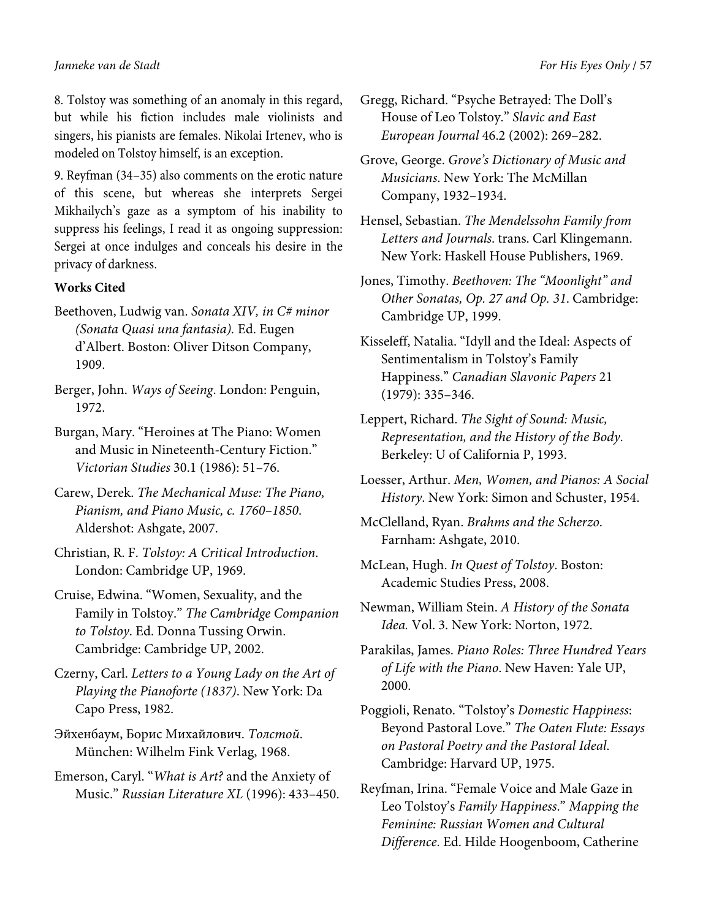8. Tolstoy was something of an anomaly in this regard, but while his fiction includes male violinists and singers, his pianists are females. Nikolai Irtenev, who is modeled on Tolstoy himself, is an exception.

9. Reyfman (34–35) also comments on the erotic nature of this scene, but whereas she interprets Sergei Mikhailych's gaze as a symptom of his inability to suppress his feelings, I read it as ongoing suppression: Sergei at once indulges and conceals his desire in the privacy of darkness.

## **Works Cited**

- Beethoven, Ludwig van. *Sonata XIV, in C# minor (Sonata Quasi una fantasia).* Ed. Eugen d'Albert. Boston: Oliver Ditson Company, 1909.
- Berger, John. *Ways of Seeing*. London: Penguin, 1972.
- Burgan, Mary. "Heroines at The Piano: Women and Music in Nineteenth-Century Fiction." *Victorian Studies* 30.1 (1986): 51–76.
- Carew, Derek. *The Mechanical Muse: The Piano, Pianism, and Piano Music, c. 1760–1850*. Aldershot: Ashgate, 2007.
- Christian, R. F. *Tolstoy: A Critical Introduction*. London: Cambridge UP, 1969.
- Cruise, Edwina. "Women, Sexuality, and the Family in Tolstoy." *The Cambridge Companion to Tolstoy*. Ed. Donna Tussing Orwin. Cambridge: Cambridge UP, 2002.
- Czerny, Carl. *Letters to a Young Lady on the Art of Playing the Pianoforte (1837)*. New York: Da Capo Press, 1982.
- Эйхенбаум, Борис Михайлович. *Толстой*. München: Wilhelm Fink Verlag, 1968.
- Emerson, Caryl. "*What is Art?* and the Anxiety of Music." *Russian Literature XL* (1996): 433–450.
- Gregg, Richard. "Psyche Betrayed: The Doll's House of Leo Tolstoy." *Slavic and East European Journal* 46.2 (2002): 269–282.
- Grove, George. *Grove's Dictionary of Music and Musicians*. New York: The McMillan Company, 1932–1934.
- Hensel, Sebastian. *The Mendelssohn Family from Letters and Journals*. trans. Carl Klingemann. New York: Haskell House Publishers, 1969.
- Jones, Timothy. *Beethoven: The "Moonlight" and Other Sonatas, Op. 27 and Op. 31*. Cambridge: Cambridge UP, 1999.
- Kisseleff, Natalia. "Idyll and the Ideal: Aspects of Sentimentalism in Tolstoy's Family Happiness." *Canadian Slavonic Papers* 21 (1979): 335–346.
- Leppert, Richard. *The Sight of Sound: Music, Representation, and the History of the Body*. Berkeley: U of California P, 1993.
- Loesser, Arthur. *Men, Women, and Pianos: A Social History*. New York: Simon and Schuster, 1954.
- McClelland, Ryan. *Brahms and the Scherzo*. Farnham: Ashgate, 2010.
- McLean, Hugh. *In Quest of Tolstoy*. Boston: Academic Studies Press, 2008.
- Newman, William Stein. *A History of the Sonata Idea.* Vol. 3. New York: Norton, 1972.
- Parakilas, James. *Piano Roles: Three Hundred Years of Life with the Piano*. New Haven: Yale UP, 2000.
- Poggioli, Renato. "Tolstoy's *Domestic Happiness*: Beyond Pastoral Love." *The Oaten Flute: Essays on Pastoral Poetry and the Pastoral Ideal*. Cambridge: Harvard UP, 1975.
- Reyfman, Irina. "Female Voice and Male Gaze in Leo Tolstoy's *Family Happiness*." *Mapping the Feminine: Russian Women and Cultural Difference*. Ed. Hilde Hoogenboom, Catherine